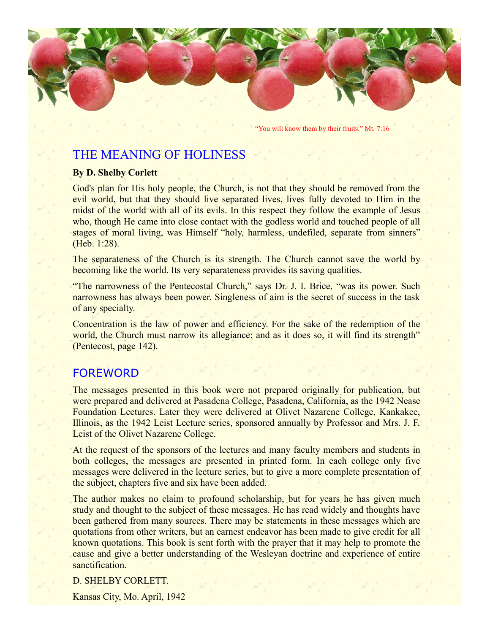

"You will know them by their fruits." Mt. 7:16

# THE MEANING OF HOLINESS

#### **By D. Shelby Corlett**

God's plan for His holy people, the Church, is not that they should be removed from the evil world, but that they should live separated lives, lives fully devoted to Him in the midst of the world with all of its evils. In this respect they follow the example of Jesus who, though He came into close contact with the godless world and touched people of all stages of moral living, was Himself "holy, harmless, undefiled, separate from sinners" (Heb. 1:28).

The separateness of the Church is its strength. The Church cannot save the world by becoming like the world. Its very separateness provides its saving qualities.

"The narrowness of the Pentecostal Church," says Dr. J. I. Brice, "was its power. Such narrowness has always been power. Singleness of aim is the secret of success in the task of any specialty.

Concentration is the law of power and efficiency. For the sake of the redemption of the world, the Church must narrow its allegiance; and as it does so, it will find its strength" (Pentecost, page 142).

# FOREWORD

The messages presented in this book were not prepared originally for publication, but were prepared and delivered at Pasadena College, Pasadena, California, as the 1942 Nease Foundation Lectures. Later they were delivered at Olivet Nazarene College, Kankakee, Illinois, as the 1942 Leist Lecture series, sponsored annually by Professor and Mrs. J. F. Leist of the Olivet Nazarene College.

At the request of the sponsors of the lectures and many faculty members and students in both colleges, the messages are presented in printed form. In each college only five messages were delivered in the lecture series, but to give a more complete presentation of the subject, chapters five and six have been added.

The author makes no claim to profound scholarship, but for years he has given much study and thought to the subject of these messages. He has read widely and thoughts have been gathered from many sources. There may be statements in these messages which are quotations from other writers, but an earnest endeavor has been made to give credit for all known quotations. This book is sent forth with the prayer that it may help to promote the cause and give a better understanding of the Wesleyan doctrine and experience of entire sanctification.

## D. SHELBY CORLETT.

Kansas City, Mo. April, 1942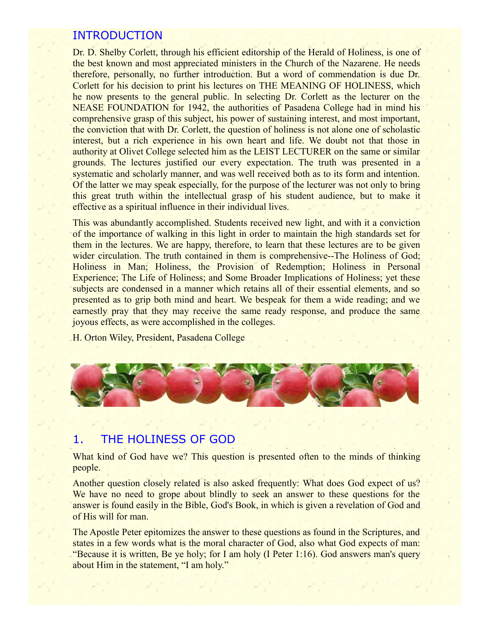# INTRODUCTION

Dr. D. Shelby Corlett, through his efficient editorship of the Herald of Holiness, is one of the best known and most appreciated ministers in the Church of the Nazarene. He needs therefore, personally, no further introduction. But a word of commendation is due Dr. Corlett for his decision to print his lectures on THE MEANING OF HOLINESS, which he now presents to the general public. In selecting Dr. Corlett as the lecturer on the NEASE FOUNDATION for 1942, the authorities of Pasadena College had in mind his comprehensive grasp of this subject, his power of sustaining interest, and most important, the conviction that with Dr. Corlett, the question of holiness is not alone one of scholastic interest, but a rich experience in his own heart and life. We doubt not that those in authority at Olivet College selected him as the LEIST LECTURER on the same or similar grounds. The lectures justified our every expectation. The truth was presented in a systematic and scholarly manner, and was well received both as to its form and intention. Of the latter we may speak especially, for the purpose of the lecturer was not only to bring this great truth within the intellectual grasp of his student audience, but to make it effective as a spiritual influence in their individual lives.

This was abundantly accomplished. Students received new light, and with it a conviction of the importance of walking in this light in order to maintain the high standards set for them in the lectures. We are happy, therefore, to learn that these lectures are to be given wider circulation. The truth contained in them is comprehensive--The Holiness of God; Holiness in Man; Holiness, the Provision of Redemption; Holiness in Personal Experience; The Life of Holiness; and Some Broader Implications of Holiness; yet these subjects are condensed in a manner which retains all of their essential elements, and so presented as to grip both mind and heart. We bespeak for them a wide reading; and we earnestly pray that they may receive the same ready response, and produce the same joyous effects, as were accomplished in the colleges.

H. Orton Wiley, President, Pasadena College



# 1. THE HOLINESS OF GOD

What kind of God have we? This question is presented often to the minds of thinking people.

Another question closely related is also asked frequently: What does God expect of us? We have no need to grope about blindly to seek an answer to these questions for the answer is found easily in the Bible, God's Book, in which is given a revelation of God and of His will for man.

The Apostle Peter epitomizes the answer to these questions as found in the Scriptures, and states in a few words what is the moral character of God, also what God expects of man: "Because it is written, Be ye holy; for I am holy (I Peter 1:16). God answers man's query about Him in the statement, "I am holy."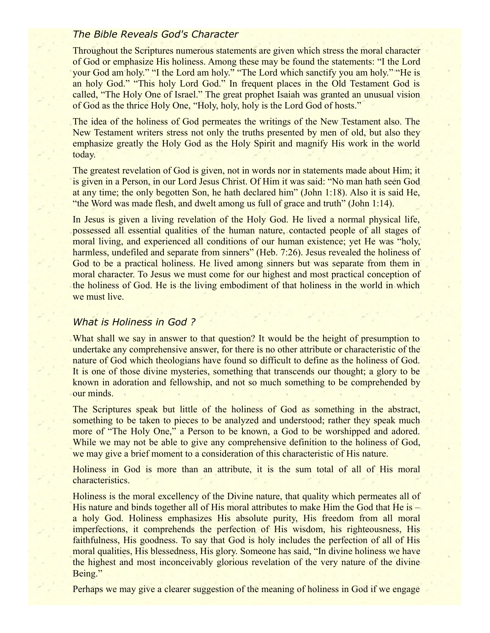## *The Bible Reveals God's Character*

Throughout the Scriptures numerous statements are given which stress the moral character of God or emphasize His holiness. Among these may be found the statements: "I the Lord your God am holy." "I the Lord am holy." "The Lord which sanctify you am holy." "He is an holy God." "This holy Lord God." In frequent places in the Old Testament God is called, "The Holy One of Israel." The great prophet Isaiah was granted an unusual vision of God as the thrice Holy One, "Holy, holy, holy is the Lord God of hosts."

The idea of the holiness of God permeates the writings of the New Testament also. The New Testament writers stress not only the truths presented by men of old, but also they emphasize greatly the Holy God as the Holy Spirit and magnify His work in the world today.

The greatest revelation of God is given, not in words nor in statements made about Him; it is given in a Person, in our Lord Jesus Christ. Of Him it was said: "No man hath seen God at any time; the only begotten Son, he hath declared him" (John 1:18). Also it is said He, "the Word was made flesh, and dwelt among us full of grace and truth" (John 1:14).

In Jesus is given a living revelation of the Holy God. He lived a normal physical life, possessed all essential qualities of the human nature, contacted people of all stages of moral living, and experienced all conditions of our human existence; yet He was "holy, harmless, undefiled and separate from sinners" (Heb. 7:26). Jesus revealed the holiness of God to be a practical holiness. He lived among sinners but was separate from them in moral character. To Jesus we must come for our highest and most practical conception of the holiness of God. He is the living embodiment of that holiness in the world in which we must live.

### *What is Holiness in God ?*

What shall we say in answer to that question? It would be the height of presumption to undertake any comprehensive answer, for there is no other attribute or characteristic of the nature of God which theologians have found so difficult to define as the holiness of God. It is one of those divine mysteries, something that transcends our thought; a glory to be known in adoration and fellowship, and not so much something to be comprehended by our minds.

The Scriptures speak but little of the holiness of God as something in the abstract, something to be taken to pieces to be analyzed and understood; rather they speak much more of "The Holy One," a Person to be known, a God to be worshipped and adored. While we may not be able to give any comprehensive definition to the holiness of God, we may give a brief moment to a consideration of this characteristic of His nature.

Holiness in God is more than an attribute, it is the sum total of all of His moral characteristics.

Holiness is the moral excellency of the Divine nature, that quality which permeates all of His nature and binds together all of His moral attributes to make Him the God that He is – a holy God. Holiness emphasizes His absolute purity, His freedom from all moral imperfections, it comprehends the perfection of His wisdom, his righteousness, His faithfulness, His goodness. To say that God is holy includes the perfection of all of His moral qualities, His blessedness, His glory. Someone has said, "In divine holiness we have the highest and most inconceivably glorious revelation of the very nature of the divine Being."

Perhaps we may give a clearer suggestion of the meaning of holiness in God if we engage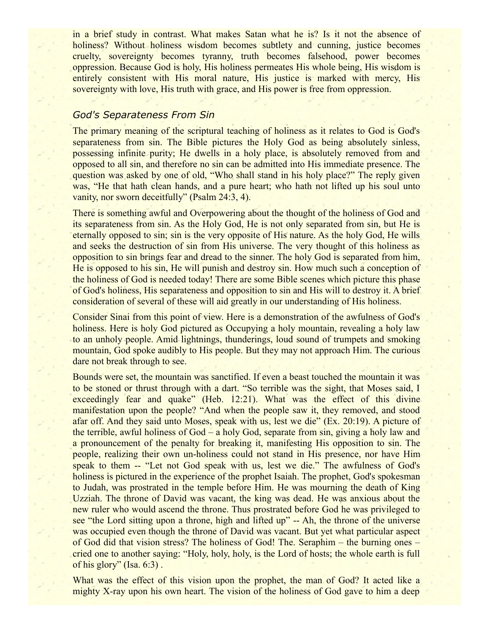in a brief study in contrast. What makes Satan what he is? Is it not the absence of holiness? Without holiness wisdom becomes subtlety and cunning, justice becomes cruelty, sovereignty becomes tyranny, truth becomes falsehood, power becomes oppression. Because God is holy, His holiness permeates His whole being, His wisdom is entirely consistent with His moral nature, His justice is marked with mercy, His sovereignty with love, His truth with grace, and His power is free from oppression.

## *God's Separateness From Sin*

The primary meaning of the scriptural teaching of holiness as it relates to God is God's separateness from sin. The Bible pictures the Holy God as being absolutely sinless, possessing infinite purity; He dwells in a holy place, is absolutely removed from and opposed to all sin, and therefore no sin can be admitted into His immediate presence. The question was asked by one of old, "Who shall stand in his holy place?" The reply given was, "He that hath clean hands, and a pure heart; who hath not lifted up his soul unto vanity, nor sworn deceitfully" (Psalm 24:3, 4).

There is something awful and Overpowering about the thought of the holiness of God and its separateness from sin. As the Holy God, He is not only separated from sin, but He is eternally opposed to sin; sin is the very opposite of His nature. As the holy God, He wills and seeks the destruction of sin from His universe. The very thought of this holiness as opposition to sin brings fear and dread to the sinner. The holy God is separated from him, He is opposed to his sin, He will punish and destroy sin. How much such a conception of the holiness of God is needed today! There are some Bible scenes which picture this phase of God's holiness, His separateness and opposition to sin and His will to destroy it. A brief consideration of several of these will aid greatly in our understanding of His holiness.

Consider Sinai from this point of view. Here is a demonstration of the awfulness of God's holiness. Here is holy God pictured as Occupying a holy mountain, revealing a holy law to an unholy people. Amid lightnings, thunderings, loud sound of trumpets and smoking mountain, God spoke audibly to His people. But they may not approach Him. The curious dare not break through to see.

Bounds were set, the mountain was sanctified. If even a beast touched the mountain it was to be stoned or thrust through with a dart. "So terrible was the sight, that Moses said, I exceedingly fear and quake" (Heb. 12:21). What was the effect of this divine manifestation upon the people? "And when the people saw it, they removed, and stood afar off. And they said unto Moses, speak with us, lest we die" (Ex. 20:19). A picture of the terrible, awful holiness of God – a holy God, separate from sin, giving a holy law and a pronouncement of the penalty for breaking it, manifesting His opposition to sin. The people, realizing their own un-holiness could not stand in His presence, nor have Him speak to them -- "Let not God speak with us, lest we die." The awfulness of God's holiness is pictured in the experience of the prophet Isaiah. The prophet, God's spokesman to Judah, was prostrated in the temple before Him. He was mourning the death of King Uzziah. The throne of David was vacant, the king was dead. He was anxious about the new ruler who would ascend the throne. Thus prostrated before God he was privileged to see "the Lord sitting upon a throne, high and lifted up" -- Ah, the throne of the universe was occupied even though the throne of David was vacant. But yet what particular aspect of God did that vision stress? The holiness of God! The. Seraphim – the burning ones – cried one to another saying: "Holy, holy, holy, is the Lord of hosts; the whole earth is full of his glory" (Isa. 6:3) .

What was the effect of this vision upon the prophet, the man of God? It acted like a mighty X-ray upon his own heart. The vision of the holiness of God gave to him a deep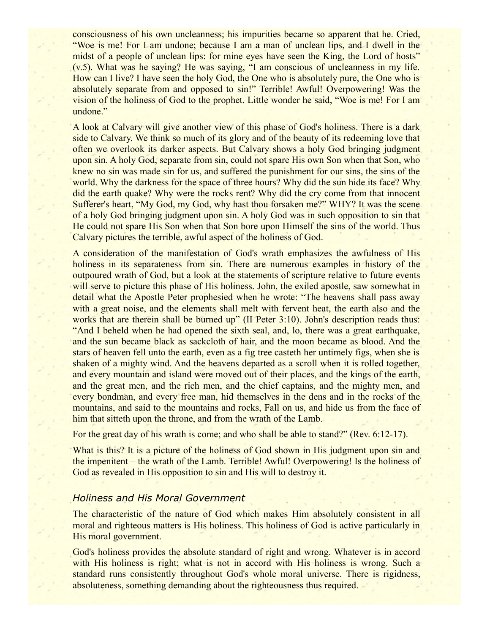consciousness of his own uncleanness; his impurities became so apparent that he. Cried, "Woe is me! For I am undone; because I am a man of unclean lips, and I dwell in the midst of a people of unclean lips: for mine eyes have seen the King, the Lord of hosts" (v.5). What was he saying? He was saying, "I am conscious of uncleanness in my life. How can I live? I have seen the holy God, the One who is absolutely pure, the One who is absolutely separate from and opposed to sin!" Terrible! Awful! Overpowering! Was the vision of the holiness of God to the prophet. Little wonder he said, "Woe is me! For I am undone."

A look at Calvary will give another view of this phase of God's holiness. There is a dark side to Calvary. We think so much of its glory and of the beauty of its redeeming love that often we overlook its darker aspects. But Calvary shows a holy God bringing judgment upon sin. A holy God, separate from sin, could not spare His own Son when that Son, who knew no sin was made sin for us, and suffered the punishment for our sins, the sins of the world. Why the darkness for the space of three hours? Why did the sun hide its face? Why did the earth quake? Why were the rocks rent? Why did the cry come from that innocent Sufferer's heart, "My God, my God, why hast thou forsaken me?" WHY? It was the scene of a holy God bringing judgment upon sin. A holy God was in such opposition to sin that He could not spare His Son when that Son bore upon Himself the sins of the world. Thus Calvary pictures the terrible, awful aspect of the holiness of God.

A consideration of the manifestation of God's wrath emphasizes the awfulness of His holiness in its separateness from sin. There are numerous examples in history of the outpoured wrath of God, but a look at the statements of scripture relative to future events will serve to picture this phase of His holiness. John, the exiled apostle, saw somewhat in detail what the Apostle Peter prophesied when he wrote: "The heavens shall pass away with a great noise, and the elements shall melt with fervent heat, the earth also and the works that are therein shall be burned up" (II Peter 3:10). John's description reads thus: "And I beheld when he had opened the sixth seal, and, lo, there was a great earthquake, and the sun became black as sackcloth of hair, and the moon became as blood. And the stars of heaven fell unto the earth, even as a fig tree casteth her untimely figs, when she is shaken of a mighty wind. And the heavens departed as a scroll when it is rolled together, and every mountain and island were moved out of their places, and the kings of the earth, and the great men, and the rich men, and the chief captains, and the mighty men, and every bondman, and every free man, hid themselves in the dens and in the rocks of the mountains, and said to the mountains and rocks, Fall on us, and hide us from the face of him that sitteth upon the throne, and from the wrath of the Lamb.

For the great day of his wrath is come; and who shall be able to stand?" (Rev. 6:12-17).

What is this? It is a picture of the holiness of God shown in His judgment upon sin and the impenitent – the wrath of the Lamb. Terrible! Awful! Overpowering! Is the holiness of God as revealed in His opposition to sin and His will to destroy it.

#### *Holiness and His Moral Government*

The characteristic of the nature of God which makes Him absolutely consistent in all moral and righteous matters is His holiness. This holiness of God is active particularly in His moral government.

God's holiness provides the absolute standard of right and wrong. Whatever is in accord with His holiness is right; what is not in accord with His holiness is wrong. Such a standard runs consistently throughout God's whole moral universe. There is rigidness, absoluteness, something demanding about the righteousness thus required.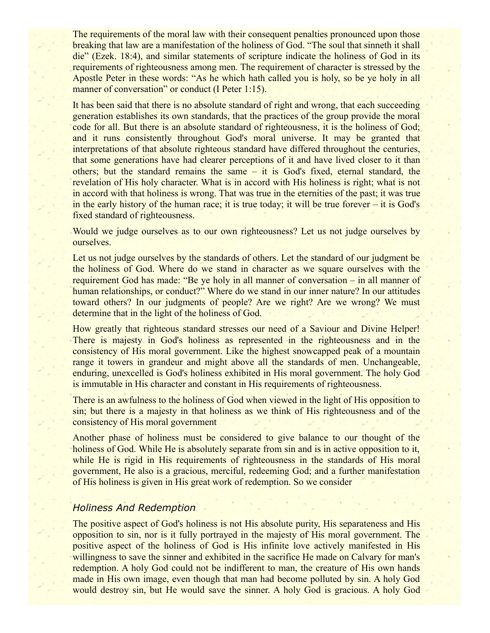The requirements of the moral law with their consequent penalties pronounced upon those breaking that law are a manifestation of the holiness of God. "The soul that sinneth it shall die" (Ezek. 18:4), and similar statements of scripture indicate the holiness of God in its requirements of righteousness among men. The requirement of character is stressed by the Apostle Peter in these words: "As he which hath called you is holy, so be ye holy in all manner of conversation" or conduct (I Peter 1:15).

It has been said that there is no absolute standard of right and wrong, that each succeeding generation establishes its own standards, that the practices of the group provide the moral code for all. But there is an absolute standard of righteousness, it is the holiness of God; and it runs consistently throughout God's moral universe. It may be granted that interpretations of that absolute righteous standard have differed throughout the centuries, that some generations have had clearer perceptions of it and have lived closer to it than others; but the standard remains the same – it is God's fixed, eternal standard, the revelation of His holy character. What is in accord with His holiness is right; what is not in accord with that holiness is wrong. That was true in the eternities of the past; it was true in the early history of the human race; it is true today; it will be true forever  $-$  it is God's fixed standard of righteousness.

Would we judge ourselves as to our own righteousness? Let us not judge ourselves by ourselves.

Let us not judge ourselves by the standards of others. Let the standard of our judgment be the holiness of God. Where do we stand in character as we square ourselves with the requirement God has made: "Be ye holy in all manner of conversation – in all manner of human relationships, or conduct?" Where do we stand in our inner nature? In our attitudes toward others? In our judgments of people? Are we right? Are we wrong? We must determine that in the light of the holiness of God.

How greatly that righteous standard stresses our need of a Saviour and Divine Helper! There is majesty in God's holiness as represented in the righteousness and in the consistency of His moral government. Like the highest snowcapped peak of a mountain range it towers in grandeur and might above all the standards of men. Unchangeable, enduring, unexcelled is God's holiness exhibited in His moral government. The holy God is immutable in His character and constant in His requirements of righteousness.

There is an awfulness to the holiness of God when viewed in the light of His opposition to sin; but there is a majesty in that holiness as we think of His righteousness and of the consistency of His moral government

Another phase of holiness must be considered to give balance to our thought of the holiness of God. While He is absolutely separate from sin and is in active opposition to it, while He is rigid in His requirements of righteousness in the standards of His moral government, He also is a gracious, merciful, redeeming God; and a further manifestation of His holiness is given in His great work of redemption. So we consider

## *Holiness And Redemption*

The positive aspect of God's holiness is not His absolute purity, His separateness and His opposition to sin, nor is it fully portrayed in the majesty of His moral government. The positive aspect of the holiness of God is His infinite love actively manifested in His willingness to save the sinner and exhibited in the sacrifice He made on Calvary for man's redemption. A holy God could not be indifferent to man, the creature of His own hands made in His own image, even though that man had become polluted by sin. A holy God would destroy sin, but He would save the sinner. A holy God is gracious. A holy God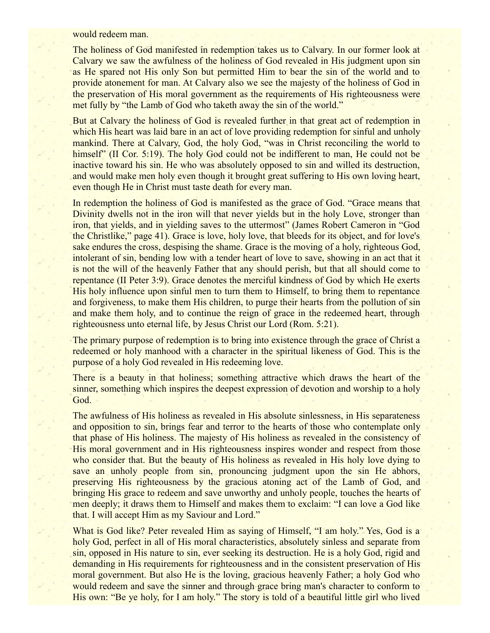would redeem man.

The holiness of God manifested in redemption takes us to Calvary. In our former look at Calvary we saw the awfulness of the holiness of God revealed in His judgment upon sin as He spared not His only Son but permitted Him to bear the sin of the world and to provide atonement for man. At Calvary also we see the majesty of the holiness of God in the preservation of His moral government as the requirements of His righteousness were met fully by "the Lamb of God who taketh away the sin of the world."

But at Calvary the holiness of God is revealed further in that great act of redemption in which His heart was laid bare in an act of love providing redemption for sinful and unholy mankind. There at Calvary, God, the holy God, "was in Christ reconciling the world to himself" (II Cor. 5:19). The holy God could not be indifferent to man, He could not be inactive toward his sin. He who was absolutely opposed to sin and willed its destruction, and would make men holy even though it brought great suffering to His own loving heart, even though He in Christ must taste death for every man.

In redemption the holiness of God is manifested as the grace of God. "Grace means that Divinity dwells not in the iron will that never yields but in the holy Love, stronger than iron, that yields, and in yielding saves to the uttermost" (James Robert Cameron in "God the Christlike," page 41). Grace is love, holy love, that bleeds for its object, and for love's sake endures the cross, despising the shame. Grace is the moving of a holy, righteous God, intolerant of sin, bending low with a tender heart of love to save, showing in an act that it is not the will of the heavenly Father that any should perish, but that all should come to repentance (II Peter 3:9). Grace denotes the merciful kindness of God by which He exerts His holy influence upon sinful men to turn them to Himself, to bring them to repentance and forgiveness, to make them His children, to purge their hearts from the pollution of sin and make them holy, and to continue the reign of grace in the redeemed heart, through righteousness unto eternal life, by Jesus Christ our Lord (Rom. 5:21).

The primary purpose of redemption is to bring into existence through the grace of Christ a redeemed or holy manhood with a character in the spiritual likeness of God. This is the purpose of a holy God revealed in His redeeming love.

There is a beauty in that holiness; something attractive which draws the heart of the sinner, something which inspires the deepest expression of devotion and worship to a holy God.

The awfulness of His holiness as revealed in His absolute sinlessness, in His separateness and opposition to sin, brings fear and terror to the hearts of those who contemplate only that phase of His holiness. The majesty of His holiness as revealed in the consistency of His moral government and in His righteousness inspires wonder and respect from those who consider that. But the beauty of His holiness as revealed in His holy love dying to save an unholy people from sin, pronouncing judgment upon the sin He abhors, preserving His righteousness by the gracious atoning act of the Lamb of God, and bringing His grace to redeem and save unworthy and unholy people, touches the hearts of men deeply; it draws them to Himself and makes them to exclaim: "I can love a God like that. I will accept Him as my Saviour and Lord."

What is God like? Peter revealed Him as saying of Himself, "I am holy." Yes, God is a holy God, perfect in all of His moral characteristics, absolutely sinless and separate from sin, opposed in His nature to sin, ever seeking its destruction. He is a holy God, rigid and demanding in His requirements for righteousness and in the consistent preservation of His moral government. But also He is the loving, gracious heavenly Father; a holy God who would redeem and save the sinner and through grace bring man's character to conform to His own: "Be ye holy, for I am holy." The story is told of a beautiful little girl who lived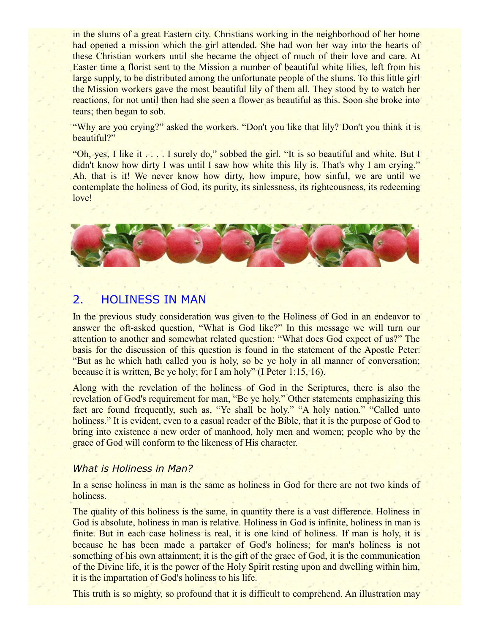in the slums of a great Eastern city. Christians working in the neighborhood of her home had opened a mission which the girl attended. She had won her way into the hearts of these Christian workers until she became the object of much of their love and care. At Easter time a florist sent to the Mission a number of beautiful white lilies, left from his large supply, to be distributed among the unfortunate people of the slums. To this little girl the Mission workers gave the most beautiful lily of them all. They stood by to watch her reactions, for not until then had she seen a flower as beautiful as this. Soon she broke into tears; then began to sob.

"Why are you crying?" asked the workers. "Don't you like that lily? Don't you think it is beautiful?"

"Oh, yes, I like it . . . . I surely do," sobbed the girl. "It is so beautiful and white. But I didn't know how dirty I was until I saw how white this lily is. That's why I am crying." Ah, that is it! We never know how dirty, how impure, how sinful, we are until we contemplate the holiness of God, its purity, its sinlessness, its righteousness, its redeeming love!



# 2. HOLINESS IN MAN

In the previous study consideration was given to the Holiness of God in an endeavor to answer the oft-asked question, "What is God like?" In this message we will turn our attention to another and somewhat related question: "What does God expect of us?" The basis for the discussion of this question is found in the statement of the Apostle Peter: "But as he which hath called you is holy, so be ye holy in all manner of conversation; because it is written, Be ye holy; for I am holy" (I Peter 1:15, 16).

Along with the revelation of the holiness of God in the Scriptures, there is also the revelation of God's requirement for man, "Be ye holy." Other statements emphasizing this fact are found frequently, such as, "Ye shall be holy." "A holy nation." "Called unto holiness." It is evident, even to a casual reader of the Bible, that it is the purpose of God to bring into existence a new order of manhood, holy men and women; people who by the grace of God will conform to the likeness of His character.

### *What is Holiness in Man?*

In a sense holiness in man is the same as holiness in God for there are not two kinds of holiness.

The quality of this holiness is the same, in quantity there is a vast difference. Holiness in God is absolute, holiness in man is relative. Holiness in God is infinite, holiness in man is finite. But in each case holiness is real, it is one kind of holiness. If man is holy, it is because he has been made a partaker of God's holiness; for man's holiness is not something of his own attainment; it is the gift of the grace of God, it is the communication of the Divine life, it is the power of the Holy Spirit resting upon and dwelling within him, it is the impartation of God's holiness to his life.

This truth is so mighty, so profound that it is difficult to comprehend. An illustration may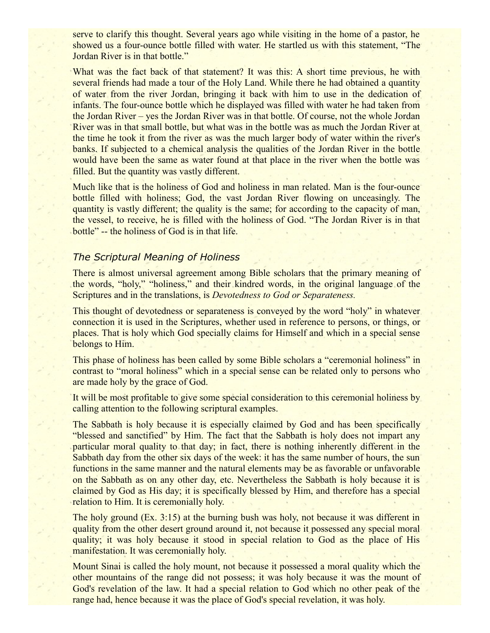serve to clarify this thought. Several years ago while visiting in the home of a pastor, he showed us a four-ounce bottle filled with water. He startled us with this statement, "The Jordan River is in that bottle."

What was the fact back of that statement? It was this: A short time previous, he with several friends had made a tour of the Holy Land. While there he had obtained a quantity of water from the river Jordan, bringing it back with him to use in the dedication of infants. The four-ounce bottle which he displayed was filled with water he had taken from the Jordan River – yes the Jordan River was in that bottle. Of course, not the whole Jordan River was in that small bottle, but what was in the bottle was as much the Jordan River at the time he took it from the river as was the much larger body of water within the river's banks. If subjected to a chemical analysis the qualities of the Jordan River in the bottle would have been the same as water found at that place in the river when the bottle was filled. But the quantity was vastly different.

Much like that is the holiness of God and holiness in man related. Man is the four-ounce bottle filled with holiness; God, the vast Jordan River flowing on unceasingly. The quantity is vastly different; the quality is the same; for according to the capacity of man, the vessel, to receive, he is filled with the holiness of God. "The Jordan River is in that bottle" -- the holiness of God is in that life.

## *The Scriptural Meaning of Holiness*

There is almost universal agreement among Bible scholars that the primary meaning of the words, "holy," "holiness," and their kindred words, in the original language of the Scriptures and in the translations, is *Devotedness to God or Separateness.*

This thought of devotedness or separateness is conveyed by the word "holy" in whatever connection it is used in the Scriptures, whether used in reference to persons, or things, or places. That is holy which God specially claims for Himself and which in a special sense belongs to Him.

This phase of holiness has been called by some Bible scholars a "ceremonial holiness" in contrast to "moral holiness" which in a special sense can be related only to persons who are made holy by the grace of God.

It will be most profitable to give some special consideration to this ceremonial holiness by calling attention to the following scriptural examples.

The Sabbath is holy because it is especially claimed by God and has been specifically "blessed and sanctified" by Him. The fact that the Sabbath is holy does not impart any particular moral quality to that day; in fact, there is nothing inherently different in the Sabbath day from the other six days of the week: it has the same number of hours, the sun functions in the same manner and the natural elements may be as favorable or unfavorable on the Sabbath as on any other day, etc. Nevertheless the Sabbath is holy because it is claimed by God as His day; it is specifically blessed by Him, and therefore has a special relation to Him. It is ceremonially holy.

The holy ground (Ex. 3:15) at the burning bush was holy, not because it was different in quality from the other desert ground around it, not because it possessed any special moral quality; it was holy because it stood in special relation to God as the place of His manifestation. It was ceremonially holy.

Mount Sinai is called the holy mount, not because it possessed a moral quality which the other mountains of the range did not possess; it was holy because it was the mount of God's revelation of the law. It had a special relation to God which no other peak of the range had, hence because it was the place of God's special revelation, it was holy.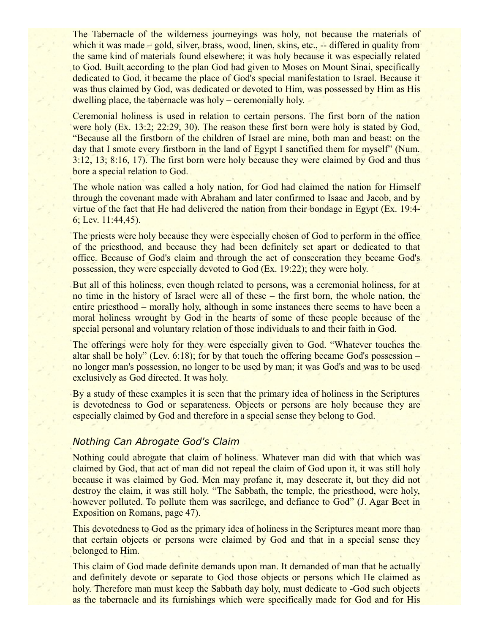The Tabernacle of the wilderness journeyings was holy, not because the materials of which it was made – gold, silver, brass, wood, linen, skins, etc., -- differed in quality from the same kind of materials found elsewhere; it was holy because it was especially related to God. Built according to the plan God had given to Moses on Mount Sinai, specifically dedicated to God, it became the place of God's special manifestation to Israel. Because it was thus claimed by God, was dedicated or devoted to Him, was possessed by Him as His dwelling place, the tabernacle was holy – ceremonially holy.

Ceremonial holiness is used in relation to certain persons. The first born of the nation were holy (Ex. 13:2; 22:29, 30). The reason these first born were holy is stated by God, "Because all the firstborn of the children of Israel are mine, both man and beast: on the day that I smote every firstborn in the land of Egypt I sanctified them for myself" (Num. 3:12, 13; 8:16, 17). The first born were holy because they were claimed by God and thus bore a special relation to God.

The whole nation was called a holy nation, for God had claimed the nation for Himself through the covenant made with Abraham and later confirmed to Isaac and Jacob, and by virtue of the fact that He had delivered the nation from their bondage in Egypt (Ex. 19:4- 6; Lev. 11:44,45).

The priests were holy because they were especially chosen of God to perform in the office of the priesthood, and because they had been definitely set apart or dedicated to that office. Because of God's claim and through the act of consecration they became God's possession, they were especially devoted to God (Ex. 19:22); they were holy.

But all of this holiness, even though related to persons, was a ceremonial holiness, for at no time in the history of Israel were all of these – the first born, the whole nation, the entire priesthood – morally holy, although in some instances there seems to have been a moral holiness wrought by God in the hearts of some of these people because of the special personal and voluntary relation of those individuals to and their faith in God.

The offerings were holy for they were especially given to God. "Whatever touches the altar shall be holy" (Lev. 6:18); for by that touch the offering became God's possession  $$ no longer man's possession, no longer to be used by man; it was God's and was to be used exclusively as God directed. It was holy.

By a study of these examples it is seen that the primary idea of holiness in the Scriptures is devotedness to God or separateness. Objects or persons are holy because they are especially claimed by God and therefore in a special sense they belong to God.

### *Nothing Can Abrogate God's Claim*

Nothing could abrogate that claim of holiness. Whatever man did with that which was claimed by God, that act of man did not repeal the claim of God upon it, it was still holy because it was claimed by God. Men may profane it, may desecrate it, but they did not destroy the claim, it was still holy. "The Sabbath, the temple, the priesthood, were holy, however polluted. To pollute them was sacrilege, and defiance to God" (J. Agar Beet in Exposition on Romans, page 47).

This devotedness to God as the primary idea of holiness in the Scriptures meant more than that certain objects or persons were claimed by God and that in a special sense they belonged to Him.

This claim of God made definite demands upon man. It demanded of man that he actually and definitely devote or separate to God those objects or persons which He claimed as holy. Therefore man must keep the Sabbath day holy, must dedicate to -God such objects as the tabernacle and its furnishings which were specifically made for God and for His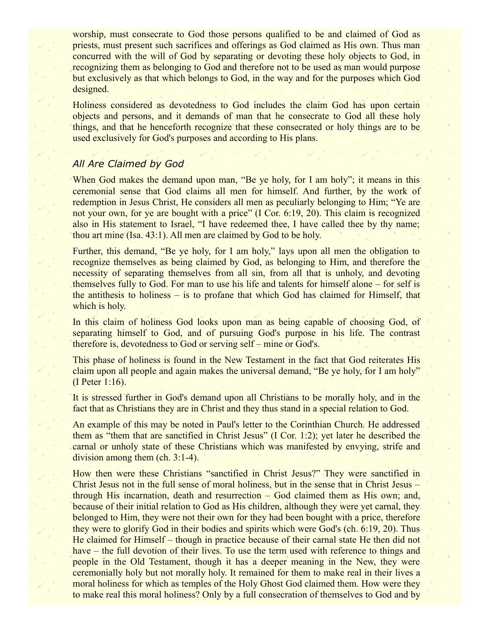worship, must consecrate to God those persons qualified to be and claimed of God as priests, must present such sacrifices and offerings as God claimed as His own. Thus man concurred with the will of God by separating or devoting these holy objects to God, in recognizing them as belonging to God and therefore not to be used as man would purpose but exclusively as that which belongs to God, in the way and for the purposes which God designed.

Holiness considered as devotedness to God includes the claim God has upon certain objects and persons, and it demands of man that he consecrate to God all these holy things, and that he henceforth recognize that these consecrated or holy things are to be used exclusively for God's purposes and according to His plans.

## *All Are Claimed by God*

When God makes the demand upon man, "Be ye holy, for I am holy"; it means in this ceremonial sense that God claims all men for himself. And further, by the work of redemption in Jesus Christ, He considers all men as peculiarly belonging to Him; "Ye are not your own, for ye are bought with a price" (I Cor. 6:19, 20). This claim is recognized also in His statement to Israel, "I have redeemed thee, I have called thee by thy name; thou art mine (Isa. 43:1). All men are claimed by God to be holy.

Further, this demand, "Be ye holy, for I am holy," lays upon all men the obligation to recognize themselves as being claimed by God, as belonging to Him, and therefore the necessity of separating themselves from all sin, from all that is unholy, and devoting themselves fully to God. For man to use his life and talents for himself alone – for self is the antithesis to holiness – is to profane that which God has claimed for Himself, that which is holy.

In this claim of holiness God looks upon man as being capable of choosing God, of separating himself to God, and of pursuing God's purpose in his life. The contrast therefore is, devotedness to God or serving self – mine or God's.

This phase of holiness is found in the New Testament in the fact that God reiterates His claim upon all people and again makes the universal demand, "Be ye holy, for I am holy" (I Peter 1:16).

It is stressed further in God's demand upon all Christians to be morally holy, and in the fact that as Christians they are in Christ and they thus stand in a special relation to God.

An example of this may be noted in Paul's letter to the Corinthian Church. He addressed them as "them that are sanctified in Christ Jesus" (I Cor. 1:2); yet later he described the carnal or unholy state of these Christians which was manifested by envying, strife and division among them (ch. 3:1-4).

How then were these Christians "sanctified in Christ Jesus?" They were sanctified in Christ Jesus not in the full sense of moral holiness, but in the sense that in Christ Jesus – through His incarnation, death and resurrection – God claimed them as His own; and, because of their initial relation to God as His children, although they were yet carnal, they belonged to Him, they were not their own for they had been bought with a price, therefore they were to glorify God in their bodies and spirits which were God's (ch. 6:19, 20). Thus He claimed for Himself – though in practice because of their carnal state He then did not have – the full devotion of their lives. To use the term used with reference to things and people in the Old Testament, though it has a deeper meaning in the New, they were ceremonially holy but not morally holy. It remained for them to make real in their lives a moral holiness for which as temples of the Holy Ghost God claimed them. How were they to make real this moral holiness? Only by a full consecration of themselves to God and by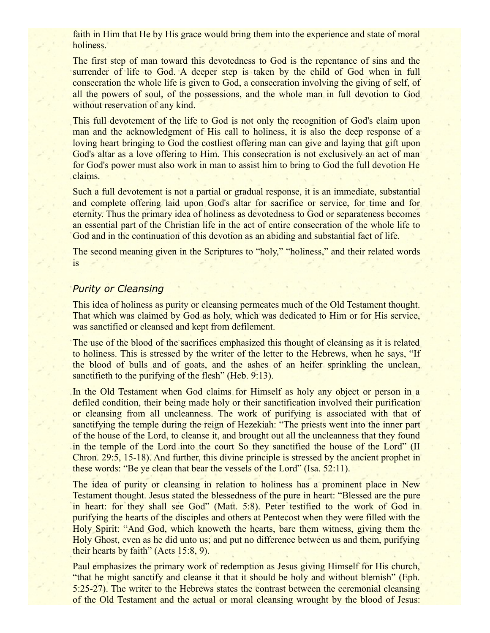faith in Him that He by His grace would bring them into the experience and state of moral holiness.

The first step of man toward this devotedness to God is the repentance of sins and the surrender of life to God. A deeper step is taken by the child of God when in full consecration the whole life is given to God, a consecration involving the giving of self, of all the powers of soul, of the possessions, and the whole man in full devotion to God without reservation of any kind.

This full devotement of the life to God is not only the recognition of God's claim upon man and the acknowledgment of His call to holiness, it is also the deep response of a loving heart bringing to God the costliest offering man can give and laying that gift upon God's altar as a love offering to Him. This consecration is not exclusively an act of man for God's power must also work in man to assist him to bring to God the full devotion He claims.

Such a full devotement is not a partial or gradual response, it is an immediate, substantial and complete offering laid upon God's altar for sacrifice or service, for time and for eternity. Thus the primary idea of holiness as devotedness to God or separateness becomes an essential part of the Christian life in the act of entire consecration of the whole life to God and in the continuation of this devotion as an abiding and substantial fact of life.

The second meaning given in the Scriptures to "holy," "holiness," and their related words is

## *Purity or Cleansing*

This idea of holiness as purity or cleansing permeates much of the Old Testament thought. That which was claimed by God as holy, which was dedicated to Him or for His service, was sanctified or cleansed and kept from defilement.

The use of the blood of the sacrifices emphasized this thought of cleansing as it is related to holiness. This is stressed by the writer of the letter to the Hebrews, when he says, "If the blood of bulls and of goats, and the ashes of an heifer sprinkling the unclean, sanctifieth to the purifying of the flesh" (Heb. 9:13).

In the Old Testament when God claims for Himself as holy any object or person in a defiled condition, their being made holy or their sanctification involved their purification or cleansing from all uncleanness. The work of purifying is associated with that of sanctifying the temple during the reign of Hezekiah: "The priests went into the inner part of the house of the Lord, to cleanse it, and brought out all the uncleanness that they found in the temple of the Lord into the court So they sanctified the house of the Lord" (II Chron. 29:5, 15-18). And further, this divine principle is stressed by the ancient prophet in these words: "Be ye clean that bear the vessels of the Lord" (Isa. 52:11).

The idea of purity or cleansing in relation to holiness has a prominent place in New Testament thought. Jesus stated the blessedness of the pure in heart: "Blessed are the pure in heart: for they shall see God" (Matt. 5:8). Peter testified to the work of God in purifying the hearts of the disciples and others at Pentecost when they were filled with the Holy Spirit: "And God, which knoweth the hearts, bare them witness, giving them the Holy Ghost, even as he did unto us; and put no difference between us and them, purifying their hearts by faith" (Acts 15:8, 9).

Paul emphasizes the primary work of redemption as Jesus giving Himself for His church, "that he might sanctify and cleanse it that it should be holy and without blemish" (Eph. 5:25-27). The writer to the Hebrews states the contrast between the ceremonial cleansing of the Old Testament and the actual or moral cleansing wrought by the blood of Jesus: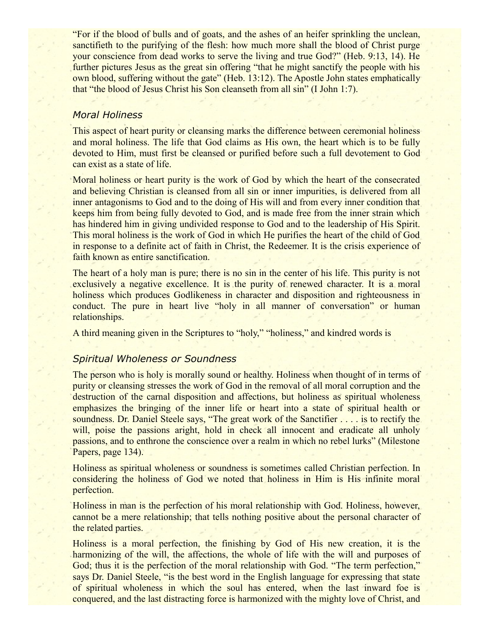"For if the blood of bulls and of goats, and the ashes of an heifer sprinkling the unclean, sanctifieth to the purifying of the flesh: how much more shall the blood of Christ purge your conscience from dead works to serve the living and true God?" (Heb. 9:13, 14). He further pictures Jesus as the great sin offering "that he might sanctify the people with his own blood, suffering without the gate" (Heb. 13:12). The Apostle John states emphatically that "the blood of Jesus Christ his Son cleanseth from all sin" (I John 1:7).

## *Moral Holiness*

This aspect of heart purity or cleansing marks the difference between ceremonial holiness and moral holiness. The life that God claims as His own, the heart which is to be fully devoted to Him, must first be cleansed or purified before such a full devotement to God can exist as a state of life.

Moral holiness or heart purity is the work of God by which the heart of the consecrated and believing Christian is cleansed from all sin or inner impurities, is delivered from all inner antagonisms to God and to the doing of His will and from every inner condition that keeps him from being fully devoted to God, and is made free from the inner strain which has hindered him in giving undivided response to God and to the leadership of His Spirit. This moral holiness is the work of God in which He purifies the heart of the child of God in response to a definite act of faith in Christ, the Redeemer. It is the crisis experience of faith known as entire sanctification.

The heart of a holy man is pure; there is no sin in the center of his life. This purity is not exclusively a negative excellence. It is the purity of renewed character. It is a moral holiness which produces Godlikeness in character and disposition and righteousness in conduct. The pure in heart live "holy in all manner of conversation" or human relationships.

A third meaning given in the Scriptures to "holy," "holiness," and kindred words is

## *Spiritual Wholeness or Soundness*

The person who is holy is morally sound or healthy. Holiness when thought of in terms of purity or cleansing stresses the work of God in the removal of all moral corruption and the destruction of the carnal disposition and affections, but holiness as spiritual wholeness emphasizes the bringing of the inner life or heart into a state of spiritual health or soundness. Dr. Daniel Steele says, "The great work of the Sanctifier . . . . is to rectify the will, poise the passions aright, hold in check all innocent and eradicate all unholy passions, and to enthrone the conscience over a realm in which no rebel lurks" (Milestone Papers, page 134).

Holiness as spiritual wholeness or soundness is sometimes called Christian perfection. In considering the holiness of God we noted that holiness in Him is His infinite moral perfection.

Holiness in man is the perfection of his moral relationship with God. Holiness, however, cannot be a mere relationship; that tells nothing positive about the personal character of the related parties.

Holiness is a moral perfection, the finishing by God of His new creation, it is the harmonizing of the will, the affections, the whole of life with the will and purposes of God; thus it is the perfection of the moral relationship with God. "The term perfection," says Dr. Daniel Steele, "is the best word in the English language for expressing that state of spiritual wholeness in which the soul has entered, when the last inward foe is conquered, and the last distracting force is harmonized with the mighty love of Christ, and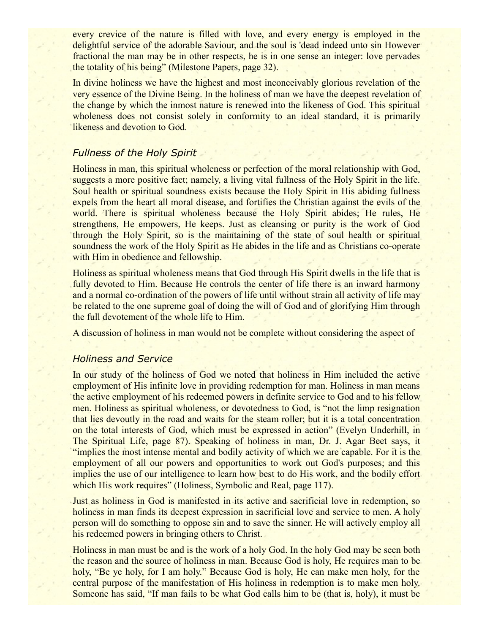every crevice of the nature is filled with love, and every energy is employed in the delightful service of the adorable Saviour, and the soul is 'dead indeed unto sin However fractional the man may be in other respects, he is in one sense an integer: love pervades the totality of his being" (Milestone Papers, page 32).

In divine holiness we have the highest and most inconceivably glorious revelation of the very essence of the Divine Being. In the holiness of man we have the deepest revelation of the change by which the inmost nature is renewed into the likeness of God. This spiritual wholeness does not consist solely in conformity to an ideal standard, it is primarily likeness and devotion to God.

## *Fullness of the Holy Spirit*

Holiness in man, this spiritual wholeness or perfection of the moral relationship with God, suggests a more positive fact; namely, a living vital fullness of the Holy Spirit in the life. Soul health or spiritual soundness exists because the Holy Spirit in His abiding fullness expels from the heart all moral disease, and fortifies the Christian against the evils of the world. There is spiritual wholeness because the Holy Spirit abides; He rules, He strengthens, He empowers, He keeps. Just as cleansing or purity is the work of God through the Holy Spirit, so is the maintaining of the state of soul health or spiritual soundness the work of the Holy Spirit as He abides in the life and as Christians co-operate with Him in obedience and fellowship.

Holiness as spiritual wholeness means that God through His Spirit dwells in the life that is fully devoted to Him. Because He controls the center of life there is an inward harmony and a normal co-ordination of the powers of life until without strain all activity of life may be related to the one supreme goal of doing the will of God and of glorifying Him through the full devotement of the whole life to Him.

A discussion of holiness in man would not be complete without considering the aspect of

## *Holiness and Service*

In our study of the holiness of God we noted that holiness in Him included the active employment of His infinite love in providing redemption for man. Holiness in man means the active employment of his redeemed powers in definite service to God and to his fellow men. Holiness as spiritual wholeness, or devotedness to God, is "not the limp resignation that lies devoutly in the road and waits for the steam roller; but it is a total concentration on the total interests of God, which must be expressed in action" (Evelyn Underhill, in The Spiritual Life, page 87). Speaking of holiness in man, Dr. J. Agar Beet says, it "implies the most intense mental and bodily activity of which we are capable. For it is the employment of all our powers and opportunities to work out God's purposes; and this implies the use of our intelligence to learn how best to do His work, and the bodily effort which His work requires" (Holiness, Symbolic and Real, page 117).

Just as holiness in God is manifested in its active and sacrificial love in redemption, so holiness in man finds its deepest expression in sacrificial love and service to men. A holy person will do something to oppose sin and to save the sinner. He will actively employ all his redeemed powers in bringing others to Christ.

Holiness in man must be and is the work of a holy God. In the holy God may be seen both the reason and the source of holiness in man. Because God is holy, He requires man to be holy, "Be ye holy, for I am holy." Because God is holy, He can make men holy, for the central purpose of the manifestation of His holiness in redemption is to make men holy. Someone has said, "If man fails to be what God calls him to be (that is, holy), it must be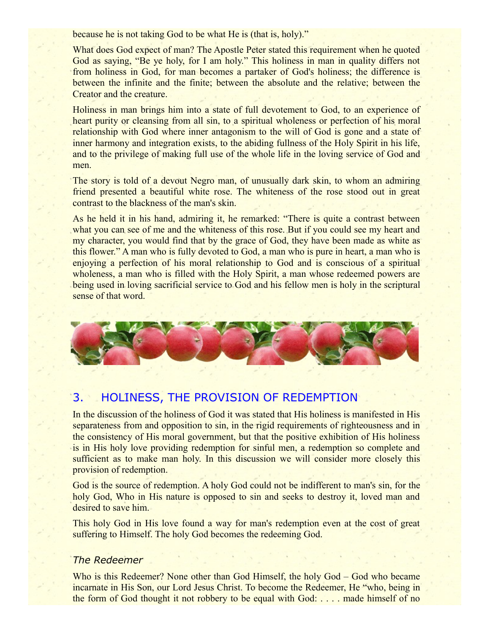because he is not taking God to be what He is (that is, holy)."

What does God expect of man? The Apostle Peter stated this requirement when he quoted God as saying, "Be ye holy, for I am holy." This holiness in man in quality differs not from holiness in God, for man becomes a partaker of God's holiness; the difference is between the infinite and the finite; between the absolute and the relative; between the Creator and the creature.

Holiness in man brings him into a state of full devotement to God, to an experience of heart purity or cleansing from all sin, to a spiritual wholeness or perfection of his moral relationship with God where inner antagonism to the will of God is gone and a state of inner harmony and integration exists, to the abiding fullness of the Holy Spirit in his life, and to the privilege of making full use of the whole life in the loving service of God and men.

The story is told of a devout Negro man, of unusually dark skin, to whom an admiring friend presented a beautiful white rose. The whiteness of the rose stood out in great contrast to the blackness of the man's skin.

As he held it in his hand, admiring it, he remarked: "There is quite a contrast between what you can see of me and the whiteness of this rose. But if you could see my heart and my character, you would find that by the grace of God, they have been made as white as this flower." A man who is fully devoted to God, a man who is pure in heart, a man who is enjoying a perfection of his moral relationship to God and is conscious of a spiritual wholeness, a man who is filled with the Holy Spirit, a man whose redeemed powers are being used in loving sacrificial service to God and his fellow men is holy in the scriptural sense of that word.



# 3. HOLINESS, THE PROVISION OF REDEMPTION

In the discussion of the holiness of God it was stated that His holiness is manifested in His separateness from and opposition to sin, in the rigid requirements of righteousness and in the consistency of His moral government, but that the positive exhibition of His holiness is in His holy love providing redemption for sinful men, a redemption so complete and sufficient as to make man holy. In this discussion we will consider more closely this provision of redemption.

God is the source of redemption. A holy God could not be indifferent to man's sin, for the holy God, Who in His nature is opposed to sin and seeks to destroy it, loved man and desired to save him.

This holy God in His love found a way for man's redemption even at the cost of great suffering to Himself. The holy God becomes the redeeming God.

### *The Redeemer*

Who is this Redeemer? None other than God Himself, the holy God – God who became incarnate in His Son, our Lord Jesus Christ. To become the Redeemer, He "who, being in the form of God thought it not robbery to be equal with God: . . . . made himself of no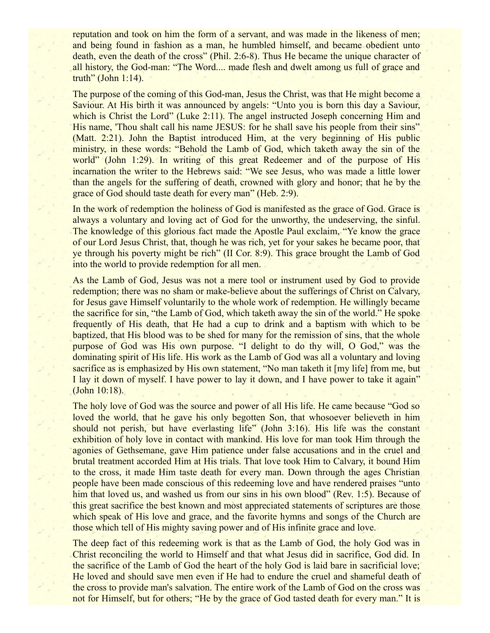reputation and took on him the form of a servant, and was made in the likeness of men; and being found in fashion as a man, he humbled himself, and became obedient unto death, even the death of the cross" (Phil. 2:6-8). Thus He became the unique character of all history, the God-man: "The Word.... made flesh and dwelt among us full of grace and truth" (John 1:14).

The purpose of the coming of this God-man, Jesus the Christ, was that He might become a Saviour. At His birth it was announced by angels: "Unto you is born this day a Saviour, which is Christ the Lord" (Luke 2:11). The angel instructed Joseph concerning Him and His name, 'Thou shalt call his name JESUS: for he shall save his people from their sins" (Matt. 2:21). John the Baptist introduced Him, at the very beginning of His public ministry, in these words: "Behold the Lamb of God, which taketh away the sin of the world" (John 1:29). In writing of this great Redeemer and of the purpose of His incarnation the writer to the Hebrews said: "We see Jesus, who was made a little lower than the angels for the suffering of death, crowned with glory and honor; that he by the grace of God should taste death for every man" (Heb. 2:9).

In the work of redemption the holiness of God is manifested as the grace of God. Grace is always a voluntary and loving act of God for the unworthy, the undeserving, the sinful. The knowledge of this glorious fact made the Apostle Paul exclaim, "Ye know the grace of our Lord Jesus Christ, that, though he was rich, yet for your sakes he became poor, that ye through his poverty might be rich" (II Cor. 8:9). This grace brought the Lamb of God into the world to provide redemption for all men.

As the Lamb of God, Jesus was not a mere tool or instrument used by God to provide redemption; there was no sham or make-believe about the sufferings of Christ on Calvary, for Jesus gave Himself voluntarily to the whole work of redemption. He willingly became the sacrifice for sin, "the Lamb of God, which taketh away the sin of the world." He spoke frequently of His death, that He had a cup to drink and a baptism with which to be baptized, that His blood was to be shed for many for the remission of sins, that the whole purpose of God was His own purpose. "I delight to do thy will, O God," was the dominating spirit of His life. His work as the Lamb of God was all a voluntary and loving sacrifice as is emphasized by His own statement, "No man taketh it [my life] from me, but I lay it down of myself. I have power to lay it down, and I have power to take it again" (John 10:18).

The holy love of God was the source and power of all His life. He came because "God so loved the world, that he gave his only begotten Son, that whosoever believeth in him should not perish, but have everlasting life" (John 3:16). His life was the constant exhibition of holy love in contact with mankind. His love for man took Him through the agonies of Gethsemane, gave Him patience under false accusations and in the cruel and brutal treatment accorded Him at His trials. That love took Him to Calvary, it bound Him to the cross, it made Him taste death for every man. Down through the ages Christian people have been made conscious of this redeeming love and have rendered praises "unto him that loved us, and washed us from our sins in his own blood" (Rev. 1:5). Because of this great sacrifice the best known and most appreciated statements of scriptures are those which speak of His love and grace, and the favorite hymns and songs of the Church are those which tell of His mighty saving power and of His infinite grace and love.

The deep fact of this redeeming work is that as the Lamb of God, the holy God was in Christ reconciling the world to Himself and that what Jesus did in sacrifice, God did. In the sacrifice of the Lamb of God the heart of the holy God is laid bare in sacrificial love; He loved and should save men even if He had to endure the cruel and shameful death of the cross to provide man's salvation. The entire work of the Lamb of God on the cross was not for Himself, but for others; "He by the grace of God tasted death for every man." It is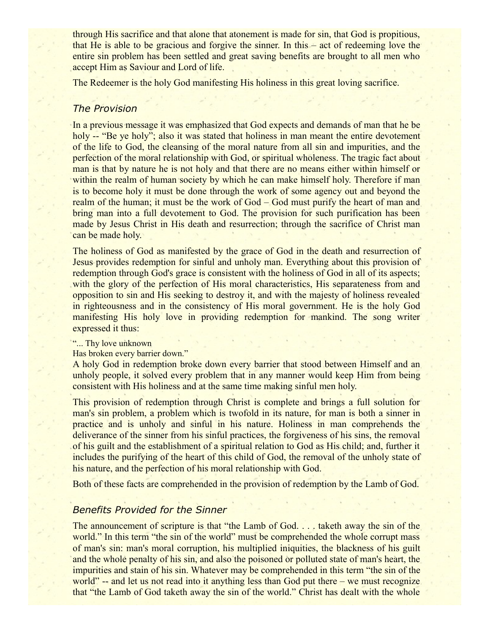through His sacrifice and that alone that atonement is made for sin, that God is propitious, that He is able to be gracious and forgive the sinner. In this – act of redeeming love the entire sin problem has been settled and great saving benefits are brought to all men who accept Him as Saviour and Lord of life.

The Redeemer is the holy God manifesting His holiness in this great loving sacrifice.

#### *The Provision*

In a previous message it was emphasized that God expects and demands of man that he be holy -- "Be ye holy"; also it was stated that holiness in man meant the entire devotement of the life to God, the cleansing of the moral nature from all sin and impurities, and the perfection of the moral relationship with God, or spiritual wholeness. The tragic fact about man is that by nature he is not holy and that there are no means either within himself or within the realm of human society by which he can make himself holy. Therefore if man is to become holy it must be done through the work of some agency out and beyond the realm of the human; it must be the work of God – God must purify the heart of man and bring man into a full devotement to God. The provision for such purification has been made by Jesus Christ in His death and resurrection; through the sacrifice of Christ man can be made holy.

The holiness of God as manifested by the grace of God in the death and resurrection of Jesus provides redemption for sinful and unholy man. Everything about this provision of redemption through God's grace is consistent with the holiness of God in all of its aspects; with the glory of the perfection of His moral characteristics, His separateness from and opposition to sin and His seeking to destroy it, and with the majesty of holiness revealed in righteousness and in the consistency of His moral government. He is the holy God manifesting His holy love in providing redemption for mankind. The song writer expressed it thus:

## "... Thy love unknown

Has broken every barrier down."

A holy God in redemption broke down every barrier that stood between Himself and an unholy people, it solved every problem that in any manner would keep Him from being consistent with His holiness and at the same time making sinful men holy.

This provision of redemption through Christ is complete and brings a full solution for man's sin problem, a problem which is twofold in its nature, for man is both a sinner in practice and is unholy and sinful in his nature. Holiness in man comprehends the deliverance of the sinner from his sinful practices, the forgiveness of his sins, the removal of his guilt and the establishment of a spiritual relation to God as His child; and, further it includes the purifying of the heart of this child of God, the removal of the unholy state of his nature, and the perfection of his moral relationship with God.

Both of these facts are comprehended in the provision of redemption by the Lamb of God.

## *Benefits Provided for the Sinner*

The announcement of scripture is that "the Lamb of God. . . . taketh away the sin of the world." In this term "the sin of the world" must be comprehended the whole corrupt mass of man's sin: man's moral corruption, his multiplied iniquities, the blackness of his guilt and the whole penalty of his sin, and also the poisoned or polluted state of man's heart, the impurities and stain of his sin. Whatever may be comprehended in this term "the sin of the world" -- and let us not read into it anything less than God put there – we must recognize that "the Lamb of God taketh away the sin of the world." Christ has dealt with the whole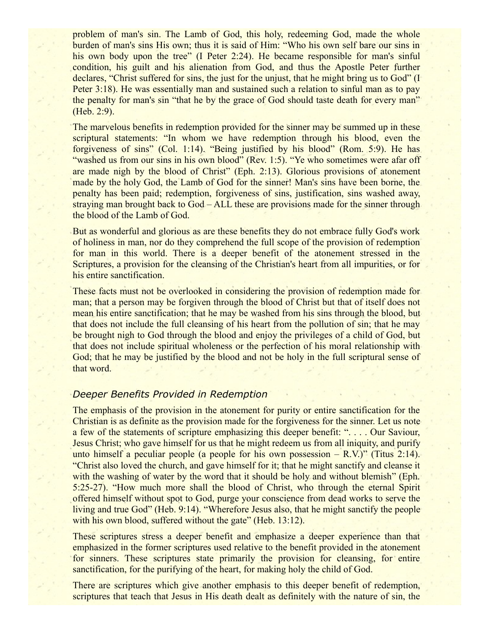problem of man's sin. The Lamb of God, this holy, redeeming God, made the whole burden of man's sins His own; thus it is said of Him: "Who his own self bare our sins in his own body upon the tree" (I Peter 2:24). He became responsible for man's sinful condition, his guilt and his alienation from God, and thus the Apostle Peter further declares, "Christ suffered for sins, the just for the unjust, that he might bring us to God" (I Peter 3:18). He was essentially man and sustained such a relation to sinful man as to pay the penalty for man's sin "that he by the grace of God should taste death for every man" (Heb. 2:9).

The marvelous benefits in redemption provided for the sinner may be summed up in these scriptural statements: "In whom we have redemption through his blood, even the forgiveness of sins" (Col. 1:14). "Being justified by his blood" (Rom. 5:9). He has "washed us from our sins in his own blood" (Rev. 1:5). "Ye who sometimes were afar off are made nigh by the blood of Christ" (Eph. 2:13). Glorious provisions of atonement made by the holy God, the Lamb of God for the sinner! Man's sins have been borne, the penalty has been paid; redemption, forgiveness of sins, justification, sins washed away, straying man brought back to God – ALL these are provisions made for the sinner through the blood of the Lamb of God.

But as wonderful and glorious as are these benefits they do not embrace fully God's work of holiness in man, nor do they comprehend the full scope of the provision of redemption for man in this world. There is a deeper benefit of the atonement stressed in the Scriptures, a provision for the cleansing of the Christian's heart from all impurities, or for his entire sanctification.

These facts must not be overlooked in considering the provision of redemption made for man; that a person may be forgiven through the blood of Christ but that of itself does not mean his entire sanctification; that he may be washed from his sins through the blood, but that does not include the full cleansing of his heart from the pollution of sin; that he may be brought nigh to God through the blood and enjoy the privileges of a child of God, but that does not include spiritual wholeness or the perfection of his moral relationship with God; that he may be justified by the blood and not be holy in the full scriptural sense of that word.

#### *Deeper Benefits Provided in Redemption*

The emphasis of the provision in the atonement for purity or entire sanctification for the Christian is as definite as the provision made for the forgiveness for the sinner. Let us note a few of the statements of scripture emphasizing this deeper benefit: ". . . . Our Saviour, Jesus Christ; who gave himself for us that he might redeem us from all iniquity, and purify unto himself a peculiar people (a people for his own possession  $- R.V.$ )" (Titus 2:14). "Christ also loved the church, and gave himself for it; that he might sanctify and cleanse it with the washing of water by the word that it should be holy and without blemish" (Eph. 5:25-27). "How much more shall the blood of Christ, who through the eternal Spirit offered himself without spot to God, purge your conscience from dead works to serve the living and true God" (Heb. 9:14). "Wherefore Jesus also, that he might sanctify the people with his own blood, suffered without the gate" (Heb. 13:12).

These scriptures stress a deeper benefit and emphasize a deeper experience than that emphasized in the former scriptures used relative to the benefit provided in the atonement for sinners. These scriptures state primarily the provision for cleansing, for entire sanctification, for the purifying of the heart, for making holy the child of God.

There are scriptures which give another emphasis to this deeper benefit of redemption, scriptures that teach that Jesus in His death dealt as definitely with the nature of sin, the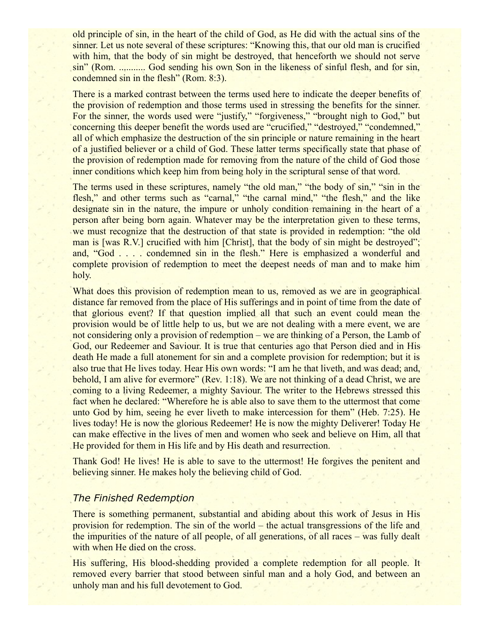old principle of sin, in the heart of the child of God, as He did with the actual sins of the sinner. Let us note several of these scriptures: "Knowing this, that our old man is crucified with him, that the body of sin might be destroyed, that henceforth we should not serve sin" (Rom. ........... God sending his own Son in the likeness of sinful flesh, and for sin, condemned sin in the flesh" (Rom. 8:3).

There is a marked contrast between the terms used here to indicate the deeper benefits of the provision of redemption and those terms used in stressing the benefits for the sinner. For the sinner, the words used were "justify," "forgiveness," "brought nigh to God," but concerning this deeper benefit the words used are "crucified," "destroyed," "condemned," all of which emphasize the destruction of the sin principle or nature remaining in the heart of a justified believer or a child of God. These latter terms specifically state that phase of the provision of redemption made for removing from the nature of the child of God those inner conditions which keep him from being holy in the scriptural sense of that word.

The terms used in these scriptures, namely "the old man," "the body of sin," "sin in the flesh," and other terms such as "carnal," "the carnal mind," "the flesh," and the like designate sin in the nature, the impure or unholy condition remaining in the heart of a person after being born again. Whatever may be the interpretation given to these terms, we must recognize that the destruction of that state is provided in redemption: "the old man is [was R.V.] crucified with him [Christ], that the body of sin might be destroyed"; and, "God . . . . condemned sin in the flesh." Here is emphasized a wonderful and complete provision of redemption to meet the deepest needs of man and to make him holy.

What does this provision of redemption mean to us, removed as we are in geographical distance far removed from the place of His sufferings and in point of time from the date of that glorious event? If that question implied all that such an event could mean the provision would be of little help to us, but we are not dealing with a mere event, we are not considering only a provision of redemption – we are thinking of a Person, the Lamb of God, our Redeemer and Saviour. It is true that centuries ago that Person died and in His death He made a full atonement for sin and a complete provision for redemption; but it is also true that He lives today. Hear His own words: "I am he that liveth, and was dead; and, behold, I am alive for evermore" (Rev. 1:18). We are not thinking of a dead Christ, we are coming to a living Redeemer, a mighty Saviour. The writer to the Hebrews stressed this fact when he declared: "Wherefore he is able also to save them to the uttermost that come unto God by him, seeing he ever liveth to make intercession for them" (Heb. 7:25). He lives today! He is now the glorious Redeemer! He is now the mighty Deliverer! Today He can make effective in the lives of men and women who seek and believe on Him, all that He provided for them in His life and by His death and resurrection.

Thank God! He lives! He is able to save to the uttermost! He forgives the penitent and believing sinner. He makes holy the believing child of God.

### *The Finished Redemption*

There is something permanent, substantial and abiding about this work of Jesus in His provision for redemption. The sin of the world – the actual transgressions of the life and the impurities of the nature of all people, of all generations, of all races – was fully dealt with when He died on the cross.

His suffering, His blood-shedding provided a complete redemption for all people. It removed every barrier that stood between sinful man and a holy God, and between an unholy man and his full devotement to God.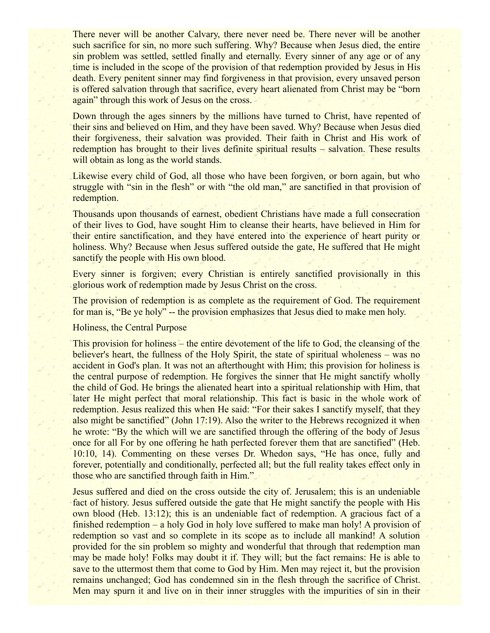There never will be another Calvary, there never need be. There never will be another such sacrifice for sin, no more such suffering. Why? Because when Jesus died, the entire sin problem was settled, settled finally and eternally. Every sinner of any age or of any time is included in the scope of the provision of that redemption provided by Jesus in His death. Every penitent sinner may find forgiveness in that provision, every unsaved person is offered salvation through that sacrifice, every heart alienated from Christ may be "born again" through this work of Jesus on the cross.

Down through the ages sinners by the millions have turned to Christ, have repented of their sins and believed on Him, and they have been saved. Why? Because when Jesus died their forgiveness, their salvation was provided. Their faith in Christ and His work of redemption has brought to their lives definite spiritual results – salvation. These results will obtain as long as the world stands.

Likewise every child of God, all those who have been forgiven, or born again, but who struggle with "sin in the flesh" or with "the old man," are sanctified in that provision of redemption.

Thousands upon thousands of earnest, obedient Christians have made a full consecration of their lives to God, have sought Him to cleanse their hearts, have believed in Him for their entire sanctification, and they have entered into the experience of heart purity or holiness. Why? Because when Jesus suffered outside the gate, He suffered that He might sanctify the people with His own blood.

Every sinner is forgiven; every Christian is entirely sanctified provisionally in this glorious work of redemption made by Jesus Christ on the cross.

The provision of redemption is as complete as the requirement of God. The requirement for man is, "Be ye holy" -- the provision emphasizes that Jesus died to make men holy.

#### Holiness, the Central Purpose

This provision for holiness – the entire devotement of the life to God, the cleansing of the believer's heart, the fullness of the Holy Spirit, the state of spiritual wholeness – was no accident in God's plan. It was not an afterthought with Him; this provision for holiness is the central purpose of redemption. He forgives the sinner that He might sanctify wholly the child of God. He brings the alienated heart into a spiritual relationship with Him, that later He might perfect that moral relationship. This fact is basic in the whole work of redemption. Jesus realized this when He said: "For their sakes I sanctify myself, that they also might be sanctified" (John 17:19). Also the writer to the Hebrews recognized it when he wrote: "By the which will we are sanctified through the offering of the body of Jesus once for all For by one offering he hath perfected forever them that are sanctified" (Heb. 10:10, 14). Commenting on these verses Dr. Whedon says, "He has once, fully and forever, potentially and conditionally, perfected all; but the full reality takes effect only in those who are sanctified through faith in Him."

Jesus suffered and died on the cross outside the city of. Jerusalem; this is an undeniable fact of history. Jesus suffered outside the gate that He might sanctify the people with His own blood (Heb. 13:12); this is an undeniable fact of redemption. A gracious fact of a finished redemption – a holy God in holy love suffered to make man holy! A provision of redemption so vast and so complete in its scope as to include all mankind! A solution provided for the sin problem so mighty and wonderful that through that redemption man may be made holy! Folks may doubt it if. They will; but the fact remains: He is able to save to the uttermost them that come to God by Him. Men may reject it, but the provision remains unchanged; God has condemned sin in the flesh through the sacrifice of Christ. Men may spurn it and live on in their inner struggles with the impurities of sin in their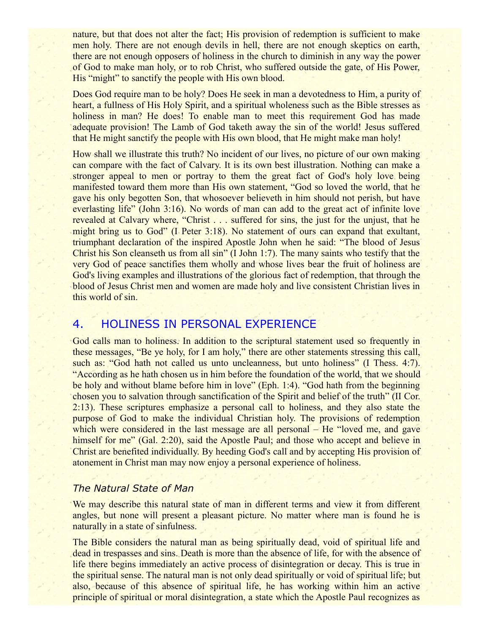nature, but that does not alter the fact; His provision of redemption is sufficient to make men holy. There are not enough devils in hell, there are not enough skeptics on earth, there are not enough opposers of holiness in the church to diminish in any way the power of God to make man holy, or to rob Christ, who suffered outside the gate, of His Power, His "might" to sanctify the people with His own blood.

Does God require man to be holy? Does He seek in man a devotedness to Him, a purity of heart, a fullness of His Holy Spirit, and a spiritual wholeness such as the Bible stresses as holiness in man? He does! To enable man to meet this requirement God has made adequate provision! The Lamb of God taketh away the sin of the world! Jesus suffered that He might sanctify the people with His own blood, that He might make man holy!

How shall we illustrate this truth? No incident of our lives, no picture of our own making can compare with the fact of Calvary. It is its own best illustration. Nothing can make a stronger appeal to men or portray to them the great fact of God's holy love being manifested toward them more than His own statement, "God so loved the world, that he gave his only begotten Son, that whosoever believeth in him should not perish, but have everlasting life" (John 3:16). No words of man can add to the great act of infinite love revealed at Calvary where, "Christ . . . suffered for sins, the just for the unjust, that he might bring us to God" (I Peter 3:18). No statement of ours can expand that exultant, triumphant declaration of the inspired Apostle John when he said: "The blood of Jesus Christ his Son cleanseth us from all sin" (I John 1:7). The many saints who testify that the very God of peace sanctifies them wholly and whose lives bear the fruit of holiness are God's living examples and illustrations of the glorious fact of redemption, that through the blood of Jesus Christ men and women are made holy and live consistent Christian lives in this world of sin.

# 4. HOLINESS IN PERSONAL EXPERIENCE

God calls man to holiness. In addition to the scriptural statement used so frequently in these messages, "Be ye holy, for I am holy," there are other statements stressing this call, such as: "God hath not called us unto uncleanness, but unto holiness" (I Thess. 4:7). "According as he hath chosen us in him before the foundation of the world, that we should be holy and without blame before him in love" (Eph. 1:4). "God hath from the beginning chosen you to salvation through sanctification of the Spirit and belief of the truth" (II Cor. 2:13). These scriptures emphasize a personal call to holiness, and they also state the purpose of God to make the individual Christian holy. The provisions of redemption which were considered in the last message are all personal – He "loved me, and gave himself for me" (Gal. 2:20), said the Apostle Paul; and those who accept and believe in Christ are benefited individually. By heeding God's call and by accepting His provision of atonement in Christ man may now enjoy a personal experience of holiness.

## *The Natural State of Man*

We may describe this natural state of man in different terms and view it from different angles, but none will present a pleasant picture. No matter where man is found he is naturally in a state of sinfulness.

The Bible considers the natural man as being spiritually dead, void of spiritual life and dead in trespasses and sins. Death is more than the absence of life, for with the absence of life there begins immediately an active process of disintegration or decay. This is true in the spiritual sense. The natural man is not only dead spiritually or void of spiritual life; but also, because of this absence of spiritual life, he has working within him an active principle of spiritual or moral disintegration, a state which the Apostle Paul recognizes as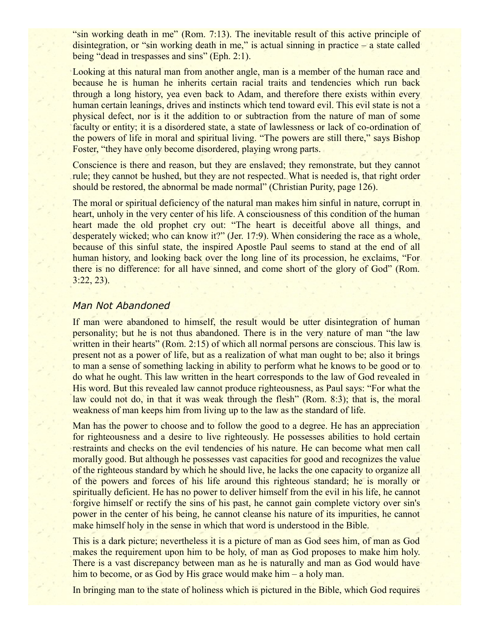"sin working death in me" (Rom. 7:13). The inevitable result of this active principle of disintegration, or "sin working death in me," is actual sinning in practice – a state called being "dead in trespasses and sins" (Eph. 2:1).

Looking at this natural man from another angle, man is a member of the human race and because he is human he inherits certain racial traits and tendencies which run back through a long history, yea even back to Adam, and therefore there exists within every human certain leanings, drives and instincts which tend toward evil. This evil state is not a physical defect, nor is it the addition to or subtraction from the nature of man of some faculty or entity; it is a disordered state, a state of lawlessness or lack of co-ordination of the powers of life in moral and spiritual living. "The powers are still there," says Bishop Foster, "they have only become disordered, playing wrong parts.

Conscience is there and reason, but they are enslaved; they remonstrate, but they cannot rule; they cannot be hushed, but they are not respected. What is needed is, that right order should be restored, the abnormal be made normal" (Christian Purity, page 126).

The moral or spiritual deficiency of the natural man makes him sinful in nature, corrupt in heart, unholy in the very center of his life. A consciousness of this condition of the human heart made the old prophet cry out: "The heart is deceitful above all things, and desperately wicked; who can know it?" (Jer. 17:9). When considering the race as a whole, because of this sinful state, the inspired Apostle Paul seems to stand at the end of all human history, and looking back over the long line of its procession, he exclaims, "For there is no difference: for all have sinned, and come short of the glory of God" (Rom. 3:22, 23).

#### *Man Not Abandoned*

If man were abandoned to himself, the result would be utter disintegration of human personality; but he is not thus abandoned. There is in the very nature of man "the law written in their hearts" (Rom. 2:15) of which all normal persons are conscious. This law is present not as a power of life, but as a realization of what man ought to be; also it brings to man a sense of something lacking in ability to perform what he knows to be good or to do what he ought. This law written in the heart corresponds to the law of God revealed in His word. But this revealed law cannot produce righteousness, as Paul says: "For what the law could not do, in that it was weak through the flesh" (Rom. 8:3); that is, the moral weakness of man keeps him from living up to the law as the standard of life.

Man has the power to choose and to follow the good to a degree. He has an appreciation for righteousness and a desire to live righteously. He possesses abilities to hold certain restraints and checks on the evil tendencies of his nature. He can become what men call morally good. But although he possesses vast capacities for good and recognizes the value of the righteous standard by which he should live, he lacks the one capacity to organize all of the powers and forces of his life around this righteous standard; he is morally or spiritually deficient. He has no power to deliver himself from the evil in his life, he cannot forgive himself or rectify the sins of his past, he cannot gain complete victory over sin's power in the center of his being, he cannot cleanse his nature of its impurities, he cannot make himself holy in the sense in which that word is understood in the Bible.

This is a dark picture; nevertheless it is a picture of man as God sees him, of man as God makes the requirement upon him to be holy, of man as God proposes to make him holy. There is a vast discrepancy between man as he is naturally and man as God would have him to become, or as God by His grace would make him – a holy man.

In bringing man to the state of holiness which is pictured in the Bible, which God requires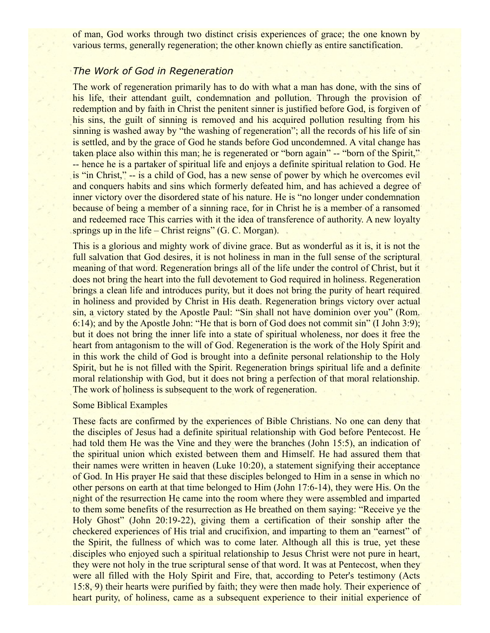of man, God works through two distinct crisis experiences of grace; the one known by various terms, generally regeneration; the other known chiefly as entire sanctification.

## *The Work of God in Regeneration*

The work of regeneration primarily has to do with what a man has done, with the sins of his life, their attendant guilt, condemnation and pollution. Through the provision of redemption and by faith in Christ the penitent sinner is justified before God, is forgiven of his sins, the guilt of sinning is removed and his acquired pollution resulting from his sinning is washed away by "the washing of regeneration"; all the records of his life of sin is settled, and by the grace of God he stands before God uncondemned. A vital change has taken place also within this man; he is regenerated or "born again" -- "born of the Spirit," -- hence he is a partaker of spiritual life and enjoys a definite spiritual relation to God. He is "in Christ," -- is a child of God, has a new sense of power by which he overcomes evil and conquers habits and sins which formerly defeated him, and has achieved a degree of inner victory over the disordered state of his nature. He is "no longer under condemnation because of being a member of a sinning race, for in Christ he is a member of a ransomed and redeemed race This carries with it the idea of transference of authority. A new loyalty springs up in the life – Christ reigns"  $(G, C, Morgan)$ .

This is a glorious and mighty work of divine grace. But as wonderful as it is, it is not the full salvation that God desires, it is not holiness in man in the full sense of the scriptural meaning of that word. Regeneration brings all of the life under the control of Christ, but it does not bring the heart into the full devotement to God required in holiness. Regeneration brings a clean life and introduces purity, but it does not bring the purity of heart required in holiness and provided by Christ in His death. Regeneration brings victory over actual sin, a victory stated by the Apostle Paul: "Sin shall not have dominion over you" (Rom. 6:14); and by the Apostle John: "He that is born of God does not commit sin" (I John 3:9); but it does not bring the inner life into a state of spiritual wholeness, nor does it free the heart from antagonism to the will of God. Regeneration is the work of the Holy Spirit and in this work the child of God is brought into a definite personal relationship to the Holy Spirit, but he is not filled with the Spirit. Regeneration brings spiritual life and a definite moral relationship with God, but it does not bring a perfection of that moral relationship. The work of holiness is subsequent to the work of regeneration.

#### Some Biblical Examples

These facts are confirmed by the experiences of Bible Christians. No one can deny that the disciples of Jesus had a definite spiritual relationship with God before Pentecost. He had told them He was the Vine and they were the branches (John 15:5), an indication of the spiritual union which existed between them and Himself. He had assured them that their names were written in heaven (Luke 10:20), a statement signifying their acceptance of God. In His prayer He said that these disciples belonged to Him in a sense in which no other persons on earth at that time belonged to Him (John 17:6-14), they were His. On the night of the resurrection He came into the room where they were assembled and imparted to them some benefits of the resurrection as He breathed on them saying: "Receive ye the Holy Ghost" (John 20:19-22), giving them a certification of their sonship after the checkered experiences of His trial and crucifixion, and imparting to them an "earnest" of the Spirit, the fullness of which was to come later. Although all this is true, yet these disciples who enjoyed such a spiritual relationship to Jesus Christ were not pure in heart, they were not holy in the true scriptural sense of that word. It was at Pentecost, when they were all filled with the Holy Spirit and Fire, that, according to Peter's testimony (Acts 15:8, 9) their hearts were purified by faith; they were then made holy. Their experience of heart purity, of holiness, came as a subsequent experience to their initial experience of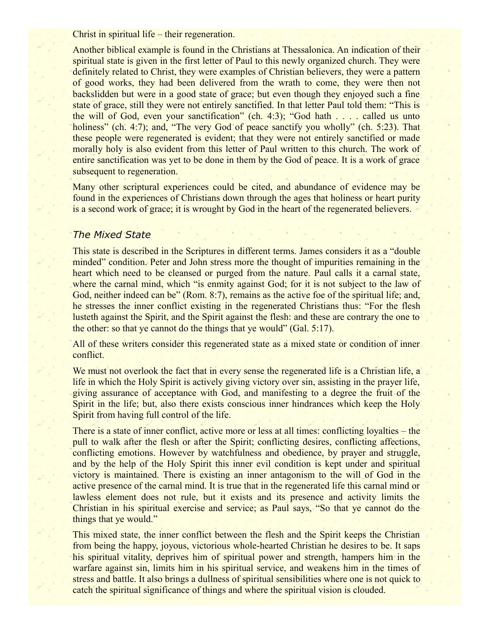Christ in spiritual life – their regeneration.

Another biblical example is found in the Christians at Thessalonica. An indication of their spiritual state is given in the first letter of Paul to this newly organized church. They were definitely related to Christ, they were examples of Christian believers, they were a pattern of good works, they had been delivered from the wrath to come, they were then not backslidden but were in a good state of grace; but even though they enjoyed such a fine state of grace, still they were not entirely sanctified. In that letter Paul told them: "This is the will of God, even your sanctification" (ch. 4:3); "God hath . . . . called us unto holiness" (ch. 4:7); and, "The very God of peace sanctify you wholly" (ch. 5:23). That these people were regenerated is evident; that they were not entirely sanctified or made morally holy is also evident from this letter of Paul written to this church. The work of entire sanctification was yet to be done in them by the God of peace. It is a work of grace subsequent to regeneration.

Many other scriptural experiences could be cited, and abundance of evidence may be found in the experiences of Christians down through the ages that holiness or heart purity is a second work of grace; it is wrought by God in the heart of the regenerated believers.

## *The Mixed State*

This state is described in the Scriptures in different terms. James considers it as a "double minded" condition. Peter and John stress more the thought of impurities remaining in the heart which need to be cleansed or purged from the nature. Paul calls it a carnal state, where the carnal mind, which "is enmity against God; for it is not subject to the law of God, neither indeed can be" (Rom. 8:7), remains as the active foe of the spiritual life; and, he stresses the inner conflict existing in the regenerated Christians thus: "For the flesh lusteth against the Spirit, and the Spirit against the flesh: and these are contrary the one to the other: so that ye cannot do the things that ye would" (Gal. 5:17).

All of these writers consider this regenerated state as a mixed state or condition of inner conflict.

We must not overlook the fact that in every sense the regenerated life is a Christian life, a life in which the Holy Spirit is actively giving victory over sin, assisting in the prayer life, giving assurance of acceptance with God, and manifesting to a degree the fruit of the Spirit in the life; but, also there exists conscious inner hindrances which keep the Holy Spirit from having full control of the life.

There is a state of inner conflict, active more or less at all times: conflicting loyalties – the pull to walk after the flesh or after the Spirit; conflicting desires, conflicting affections, conflicting emotions. However by watchfulness and obedience, by prayer and struggle, and by the help of the Holy Spirit this inner evil condition is kept under and spiritual victory is maintained. There is existing an inner antagonism to the will of God in the active presence of the carnal mind. It is true that in the regenerated life this carnal mind or lawless element does not rule, but it exists and its presence and activity limits the Christian in his spiritual exercise and service; as Paul says, "So that ye cannot do the things that ye would."

This mixed state, the inner conflict between the flesh and the Spirit keeps the Christian from being the happy, joyous, victorious whole-hearted Christian he desires to be. It saps his spiritual vitality, deprives him of spiritual power and strength, hampers him in the warfare against sin, limits him in his spiritual service, and weakens him in the times of stress and battle. It also brings a dullness of spiritual sensibilities where one is not quick to catch the spiritual significance of things and where the spiritual vision is clouded.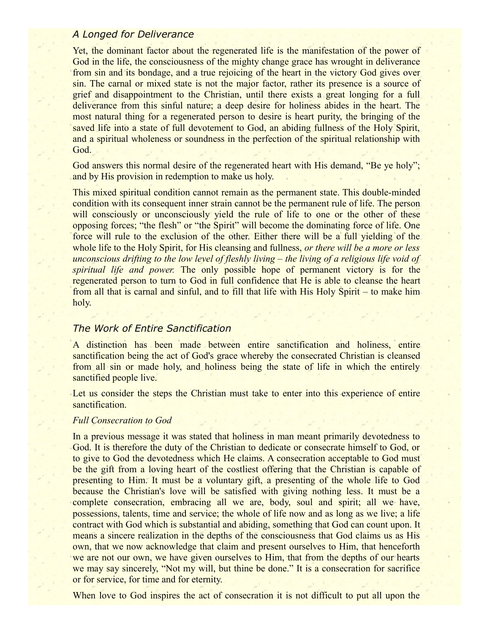#### *A Longed for Deliverance*

Yet, the dominant factor about the regenerated life is the manifestation of the power of God in the life, the consciousness of the mighty change grace has wrought in deliverance from sin and its bondage, and a true rejoicing of the heart in the victory God gives over sin. The carnal or mixed state is not the major factor, rather its presence is a source of grief and disappointment to the Christian, until there exists a great longing for a full deliverance from this sinful nature; a deep desire for holiness abides in the heart. The most natural thing for a regenerated person to desire is heart purity, the bringing of the saved life into a state of full devotement to God, an abiding fullness of the Holy Spirit, and a spiritual wholeness or soundness in the perfection of the spiritual relationship with God.

God answers this normal desire of the regenerated heart with His demand, "Be ye holy"; and by His provision in redemption to make us holy.

This mixed spiritual condition cannot remain as the permanent state. This double-minded condition with its consequent inner strain cannot be the permanent rule of life. The person will consciously or unconsciously yield the rule of life to one or the other of these opposing forces; "the flesh" or "the Spirit" will become the dominating force of life. One force will rule to the exclusion of the other. Either there will be a full yielding of the whole life to the Holy Spirit, for His cleansing and fullness, *or there will be a more or less unconscious drifting to the low level of fleshly living – the living of a religious life void of spiritual life and power.* The only possible hope of permanent victory is for the regenerated person to turn to God in full confidence that He is able to cleanse the heart from all that is carnal and sinful, and to fill that life with His Holy Spirit – to make him holy.

## *The Work of Entire Sanctification*

A distinction has been made between entire sanctification and holiness, entire sanctification being the act of God's grace whereby the consecrated Christian is cleansed from all sin or made holy, and holiness being the state of life in which the entirely sanctified people live.

Let us consider the steps the Christian must take to enter into this experience of entire sanctification.

#### *Full Consecration to God*

In a previous message it was stated that holiness in man meant primarily devotedness to God. It is therefore the duty of the Christian to dedicate or consecrate himself to God, or to give to God the devotedness which He claims. A consecration acceptable to God must be the gift from a loving heart of the costliest offering that the Christian is capable of presenting to Him. It must be a voluntary gift, a presenting of the whole life to God because the Christian's love will be satisfied with giving nothing less. It must be a complete consecration, embracing all we are, body, soul and spirit; all we have, possessions, talents, time and service; the whole of life now and as long as we live; a life contract with God which is substantial and abiding, something that God can count upon. It means a sincere realization in the depths of the consciousness that God claims us as His own, that we now acknowledge that claim and present ourselves to Him, that henceforth we are not our own, we have given ourselves to Him, that from the depths of our hearts we may say sincerely, "Not my will, but thine be done." It is a consecration for sacrifice or for service, for time and for eternity.

When love to God inspires the act of consecration it is not difficult to put all upon the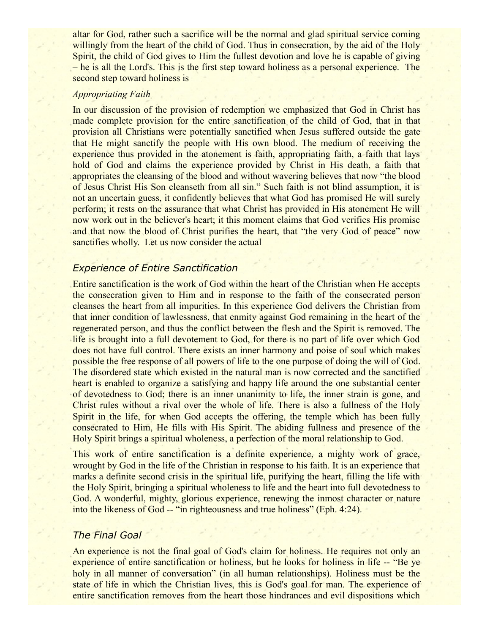altar for God, rather such a sacrifice will be the normal and glad spiritual service coming willingly from the heart of the child of God. Thus in consecration, by the aid of the Holy Spirit, the child of God gives to Him the fullest devotion and love he is capable of giving – he is all the Lord's. This is the first step toward holiness as a personal experience. The second step toward holiness is

## *Appropriating Faith*

In our discussion of the provision of redemption we emphasized that God in Christ has made complete provision for the entire sanctification of the child of God, that in that provision all Christians were potentially sanctified when Jesus suffered outside the gate that He might sanctify the people with His own blood. The medium of receiving the experience thus provided in the atonement is faith, appropriating faith, a faith that lays hold of God and claims the experience provided by Christ in His death, a faith that appropriates the cleansing of the blood and without wavering believes that now "the blood of Jesus Christ His Son cleanseth from all sin." Such faith is not blind assumption, it is not an uncertain guess, it confidently believes that what God has promised He will surely perform; it rests on the assurance that what Christ has provided in His atonement He will now work out in the believer's heart; it this moment claims that God verifies His promise and that now the blood of Christ purifies the heart, that "the very God of peace" now sanctifies wholly. Let us now consider the actual

## *Experience of Entire Sanctification*

Entire sanctification is the work of God within the heart of the Christian when He accepts the consecration given to Him and in response to the faith of the consecrated person cleanses the heart from all impurities. In this experience God delivers the Christian from that inner condition of lawlessness, that enmity against God remaining in the heart of the regenerated person, and thus the conflict between the flesh and the Spirit is removed. The life is brought into a full devotement to God, for there is no part of life over which God does not have full control. There exists an inner harmony and poise of soul which makes possible the free response of all powers of life to the one purpose of doing the will of God. The disordered state which existed in the natural man is now corrected and the sanctified heart is enabled to organize a satisfying and happy life around the one substantial center of devotedness to God; there is an inner unanimity to life, the inner strain is gone, and Christ rules without a rival over the whole of life. There is also a fullness of the Holy Spirit in the life, for when God accepts the offering, the temple which has been fully consecrated to Him, He fills with His Spirit. The abiding fullness and presence of the Holy Spirit brings a spiritual wholeness, a perfection of the moral relationship to God.

This work of entire sanctification is a definite experience, a mighty work of grace, wrought by God in the life of the Christian in response to his faith. It is an experience that marks a definite second crisis in the spiritual life, purifying the heart, filling the life with the Holy Spirit, bringing a spiritual wholeness to life and the heart into full devotedness to God. A wonderful, mighty, glorious experience, renewing the inmost character or nature into the likeness of God -- "in righteousness and true holiness" (Eph. 4:24).

## *The Final Goal*

An experience is not the final goal of God's claim for holiness. He requires not only an experience of entire sanctification or holiness, but he looks for holiness in life -- "Be ye" holy in all manner of conversation" (in all human relationships). Holiness must be the state of life in which the Christian lives, this is God's goal for man. The experience of entire sanctification removes from the heart those hindrances and evil dispositions which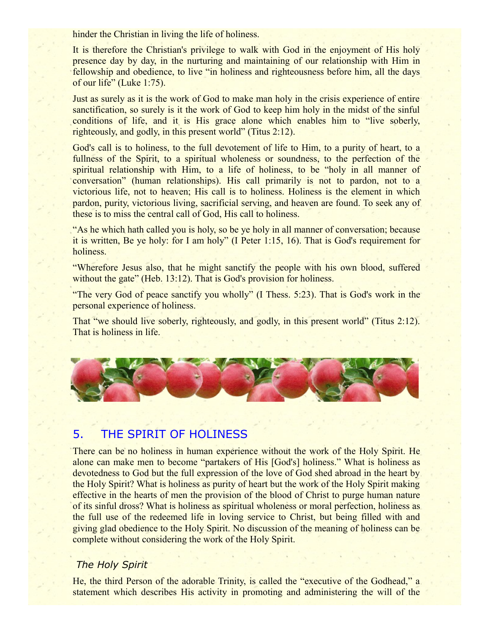hinder the Christian in living the life of holiness.

It is therefore the Christian's privilege to walk with God in the enjoyment of His holy presence day by day, in the nurturing and maintaining of our relationship with Him in fellowship and obedience, to live "in holiness and righteousness before him, all the days of our life" (Luke 1:75).

Just as surely as it is the work of God to make man holy in the crisis experience of entire sanctification, so surely is it the work of God to keep him holy in the midst of the sinful conditions of life, and it is His grace alone which enables him to "live soberly, righteously, and godly, in this present world" (Titus 2:12).

God's call is to holiness, to the full devotement of life to Him, to a purity of heart, to a fullness of the Spirit, to a spiritual wholeness or soundness, to the perfection of the spiritual relationship with Him, to a life of holiness, to be "holy in all manner of conversation" (human relationships). His call primarily is not to pardon, not to a victorious life, not to heaven; His call is to holiness. Holiness is the element in which pardon, purity, victorious living, sacrificial serving, and heaven are found. To seek any of these is to miss the central call of God, His call to holiness.

"As he which hath called you is holy, so be ye holy in all manner of conversation; because it is written, Be ye holy: for I am holy" (I Peter 1:15, 16). That is God's requirement for holiness.

"Wherefore Jesus also, that he might sanctify the people with his own blood, suffered without the gate" (Heb. 13:12). That is God's provision for holiness.

"The very God of peace sanctify you wholly" (I Thess. 5:23). That is God's work in the personal experience of holiness.

That "we should live soberly, righteously, and godly, in this present world" (Titus 2:12). That is holiness in life.



# 5. THE SPIRIT OF HOLINESS

There can be no holiness in human experience without the work of the Holy Spirit. He alone can make men to become "partakers of His [God's] holiness." What is holiness as devotedness to God but the full expression of the love of God shed abroad in the heart by the Holy Spirit? What is holiness as purity of heart but the work of the Holy Spirit making effective in the hearts of men the provision of the blood of Christ to purge human nature of its sinful dross? What is holiness as spiritual wholeness or moral perfection, holiness as the full use of the redeemed life in loving service to Christ, but being filled with and giving glad obedience to the Holy Spirit. No discussion of the meaning of holiness can be complete without considering the work of the Holy Spirit.

## *The Holy Spirit*

He, the third Person of the adorable Trinity, is called the "executive of the Godhead," a statement which describes His activity in promoting and administering the will of the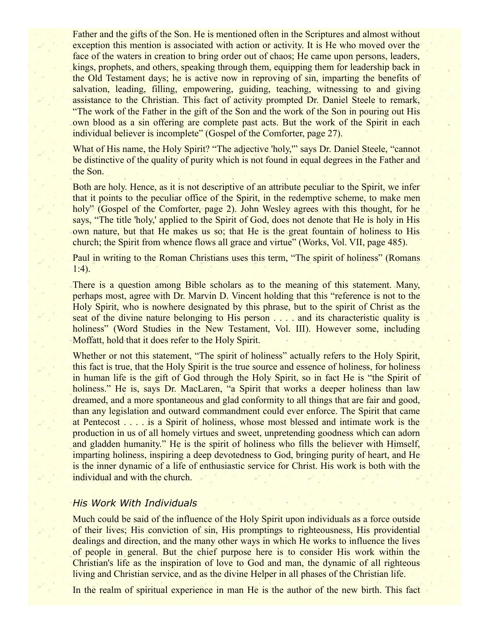Father and the gifts of the Son. He is mentioned often in the Scriptures and almost without exception this mention is associated with action or activity. It is He who moved over the face of the waters in creation to bring order out of chaos; He came upon persons, leaders, kings, prophets, and others, speaking through them, equipping them for leadership back in the Old Testament days; he is active now in reproving of sin, imparting the benefits of salvation, leading, filling, empowering, guiding, teaching, witnessing to and giving assistance to the Christian. This fact of activity prompted Dr. Daniel Steele to remark, "The work of the Father in the gift of the Son and the work of the Son in pouring out His own blood as a sin offering are complete past acts. But the work of the Spirit in each individual believer is incomplete" (Gospel of the Comforter, page 27).

What of His name, the Holy Spirit? "The adjective 'holy," says Dr. Daniel Steele, "cannot be distinctive of the quality of purity which is not found in equal degrees in the Father and the Son.

Both are holy. Hence, as it is not descriptive of an attribute peculiar to the Spirit, we infer that it points to the peculiar office of the Spirit, in the redemptive scheme, to make men holy" (Gospel of the Comforter, page 2). John Wesley agrees with this thought, for he says, "The title 'holy,' applied to the Spirit of God, does not denote that He is holy in His own nature, but that He makes us so; that He is the great fountain of holiness to His church; the Spirit from whence flows all grace and virtue" (Works, Vol. VII, page 485).

Paul in writing to the Roman Christians uses this term, "The spirit of holiness" (Romans 1:4).

There is a question among Bible scholars as to the meaning of this statement. Many, perhaps most, agree with Dr. Marvin D. Vincent holding that this "reference is not to the Holy Spirit, who is nowhere designated by this phrase, but to the spirit of Christ as the seat of the divine nature belonging to His person . . . . and its characteristic quality is holiness" (Word Studies in the New Testament, Vol. III). However some, including Moffatt, hold that it does refer to the Holy Spirit.

Whether or not this statement, "The spirit of holiness" actually refers to the Holy Spirit, this fact is true, that the Holy Spirit is the true source and essence of holiness, for holiness in human life is the gift of God through the Holy Spirit, so in fact He is "the Spirit of holiness." He is, says Dr. MacLaren, "a Spirit that works a deeper holiness than law dreamed, and a more spontaneous and glad conformity to all things that are fair and good, than any legislation and outward commandment could ever enforce. The Spirit that came at Pentecost . . . . is a Spirit of holiness, whose most blessed and intimate work is the production in us of all homely virtues and sweet, unpretending goodness which can adorn and gladden humanity." He is the spirit of holiness who fills the believer with Himself, imparting holiness, inspiring a deep devotedness to God, bringing purity of heart, and He is the inner dynamic of a life of enthusiastic service for Christ. His work is both with the individual and with the church.

## *His Work With Individuals*

Much could be said of the influence of the Holy Spirit upon individuals as a force outside of their lives; His conviction of sin, His promptings to righteousness, His providential dealings and direction, and the many other ways in which He works to influence the lives of people in general. But the chief purpose here is to consider His work within the Christian's life as the inspiration of love to God and man, the dynamic of all righteous living and Christian service, and as the divine Helper in all phases of the Christian life.

In the realm of spiritual experience in man He is the author of the new birth. This fact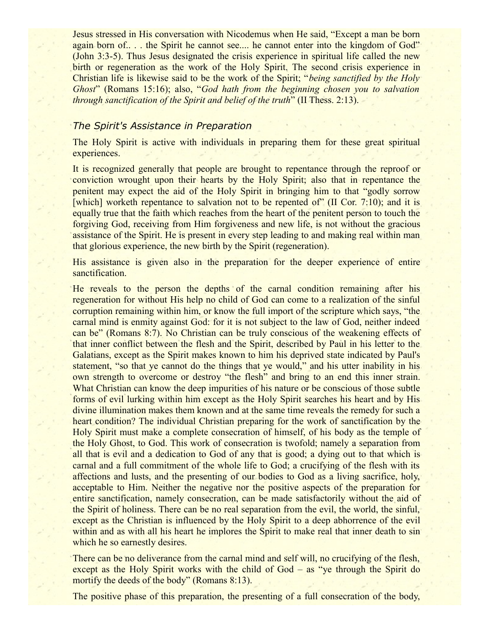Jesus stressed in His conversation with Nicodemus when He said, "Except a man be born again born of.. . . the Spirit he cannot see.... he cannot enter into the kingdom of God" (John 3:3-5). Thus Jesus designated the crisis experience in spiritual life called the new birth or regeneration as the work of the Holy Spirit. The second crisis experience in Christian life is likewise said to be the work of the Spirit; "*being sanctified by the Holy Ghost*" (Romans 15:16); also, "*God hath from the beginning chosen you to salvation through sanctification of the Spirit and belief of the truth*" (II Thess. 2:13).

#### *The Spirit's Assistance in Preparation*

The Holy Spirit is active with individuals in preparing them for these great spiritual experiences.

It is recognized generally that people are brought to repentance through the reproof or conviction wrought upon their hearts by the Holy Spirit; also that in repentance the penitent may expect the aid of the Holy Spirit in bringing him to that "godly sorrow [which] worketh repentance to salvation not to be repented of" (II Cor. 7:10); and it is equally true that the faith which reaches from the heart of the penitent person to touch the forgiving God, receiving from Him forgiveness and new life, is not without the gracious assistance of the Spirit. He is present in every step leading to and making real within man that glorious experience, the new birth by the Spirit (regeneration).

His assistance is given also in the preparation for the deeper experience of entire sanctification.

He reveals to the person the depths of the carnal condition remaining after his regeneration for without His help no child of God can come to a realization of the sinful corruption remaining within him, or know the full import of the scripture which says, "the carnal mind is enmity against God: for it is not subject to the law of God, neither indeed can be" (Romans 8:7). No Christian can be truly conscious of the weakening effects of that inner conflict between the flesh and the Spirit, described by Paul in his letter to the Galatians, except as the Spirit makes known to him his deprived state indicated by Paul's statement, "so that ye cannot do the things that ye would," and his utter inability in his own strength to overcome or destroy "the flesh" and bring to an end this inner strain. What Christian can know the deep impurities of his nature or be conscious of those subtle forms of evil lurking within him except as the Holy Spirit searches his heart and by His divine illumination makes them known and at the same time reveals the remedy for such a heart condition? The individual Christian preparing for the work of sanctification by the Holy Spirit must make a complete consecration of himself, of his body as the temple of the Holy Ghost, to God. This work of consecration is twofold; namely a separation from all that is evil and a dedication to God of any that is good; a dying out to that which is carnal and a full commitment of the whole life to God; a crucifying of the flesh with its affections and lusts, and the presenting of our bodies to God as a living sacrifice, holy, acceptable to Him. Neither the negative nor the positive aspects of the preparation for entire sanctification, namely consecration, can be made satisfactorily without the aid of the Spirit of holiness. There can be no real separation from the evil, the world, the sinful, except as the Christian is influenced by the Holy Spirit to a deep abhorrence of the evil within and as with all his heart he implores the Spirit to make real that inner death to sin which he so earnestly desires.

There can be no deliverance from the carnal mind and self will, no crucifying of the flesh, except as the Holy Spirit works with the child of God – as "ye through the Spirit do mortify the deeds of the body" (Romans 8:13).

The positive phase of this preparation, the presenting of a full consecration of the body,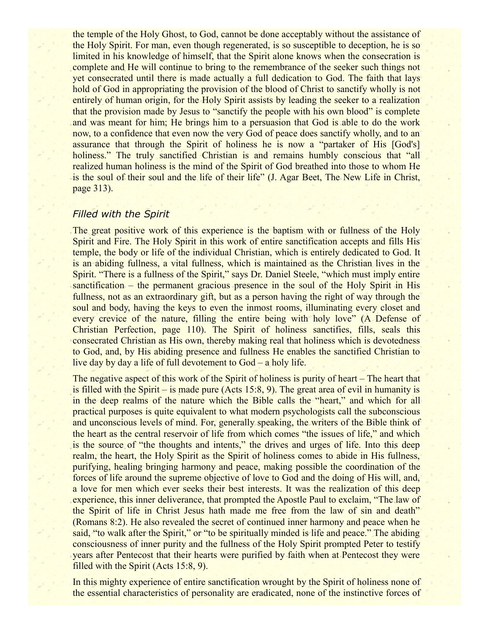the temple of the Holy Ghost, to God, cannot be done acceptably without the assistance of the Holy Spirit. For man, even though regenerated, is so susceptible to deception, he is so limited in his knowledge of himself, that the Spirit alone knows when the consecration is complete and He will continue to bring to the remembrance of the seeker such things not yet consecrated until there is made actually a full dedication to God. The faith that lays hold of God in appropriating the provision of the blood of Christ to sanctify wholly is not entirely of human origin, for the Holy Spirit assists by leading the seeker to a realization that the provision made by Jesus to "sanctify the people with his own blood" is complete and was meant for him; He brings him to a persuasion that God is able to do the work now, to a confidence that even now the very God of peace does sanctify wholly, and to an assurance that through the Spirit of holiness he is now a "partaker of His [God's] holiness." The truly sanctified Christian is and remains humbly conscious that "all" realized human holiness is the mind of the Spirit of God breathed into those to whom He is the soul of their soul and the life of their life" (J. Agar Beet, The New Life in Christ, page 313).

#### *Filled with the Spirit*

The great positive work of this experience is the baptism with or fullness of the Holy Spirit and Fire. The Holy Spirit in this work of entire sanctification accepts and fills His temple, the body or life of the individual Christian, which is entirely dedicated to God. It is an abiding fullness, a vital fullness, which is maintained as the Christian lives in the Spirit. "There is a fullness of the Spirit," says Dr. Daniel Steele, "which must imply entire sanctification – the permanent gracious presence in the soul of the Holy Spirit in His fullness, not as an extraordinary gift, but as a person having the right of way through the soul and body, having the keys to even the inmost rooms, illuminating every closet and every crevice of the nature, filling the entire being with holy love" (A Defense of Christian Perfection, page 110). The Spirit of holiness sanctifies, fills, seals this consecrated Christian as His own, thereby making real that holiness which is devotedness to God, and, by His abiding presence and fullness He enables the sanctified Christian to live day by day a life of full devotement to God – a holy life.

The negative aspect of this work of the Spirit of holiness is purity of heart – The heart that is filled with the Spirit – is made pure (Acts 15:8, 9). The great area of evil in humanity is in the deep realms of the nature which the Bible calls the "heart," and which for all practical purposes is quite equivalent to what modern psychologists call the subconscious and unconscious levels of mind. For, generally speaking, the writers of the Bible think of the heart as the central reservoir of life from which comes "the issues of life," and which is the source of "the thoughts and intents," the drives and urges of life. Into this deep realm, the heart, the Holy Spirit as the Spirit of holiness comes to abide in His fullness, purifying, healing bringing harmony and peace, making possible the coordination of the forces of life around the supreme objective of love to God and the doing of His will, and, a love for men which ever seeks their best interests. It was the realization of this deep experience, this inner deliverance, that prompted the Apostle Paul to exclaim, "The law of the Spirit of life in Christ Jesus hath made me free from the law of sin and death" (Romans 8:2). He also revealed the secret of continued inner harmony and peace when he said, "to walk after the Spirit," or "to be spiritually minded is life and peace." The abiding consciousness of inner purity and the fullness of the Holy Spirit prompted Peter to testify years after Pentecost that their hearts were purified by faith when at Pentecost they were filled with the Spirit (Acts 15:8, 9).

In this mighty experience of entire sanctification wrought by the Spirit of holiness none of the essential characteristics of personality are eradicated, none of the instinctive forces of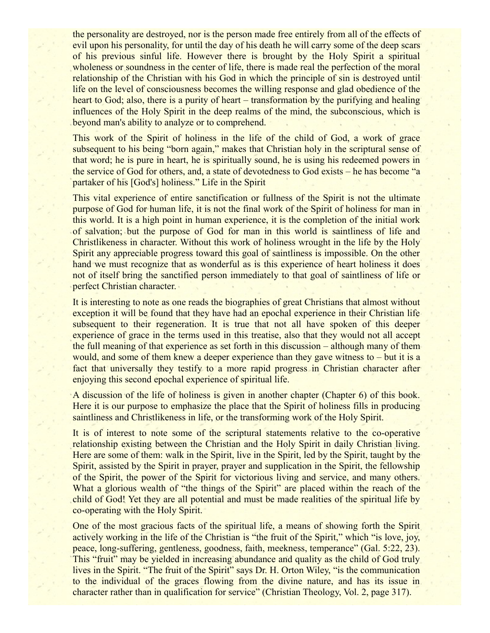the personality are destroyed, nor is the person made free entirely from all of the effects of evil upon his personality, for until the day of his death he will carry some of the deep scars of his previous sinful life. However there is brought by the Holy Spirit a spiritual wholeness or soundness in the center of life, there is made real the perfection of the moral relationship of the Christian with his God in which the principle of sin is destroyed until life on the level of consciousness becomes the willing response and glad obedience of the heart to God; also, there is a purity of heart – transformation by the purifying and healing influences of the Holy Spirit in the deep realms of the mind, the subconscious, which is beyond man's ability to analyze or to comprehend.

This work of the Spirit of holiness in the life of the child of God, a work of grace subsequent to his being "born again," makes that Christian holy in the scriptural sense of that word; he is pure in heart, he is spiritually sound, he is using his redeemed powers in the service of God for others, and, a state of devotedness to God exists – he has become "a partaker of his [God's] holiness." Life in the Spirit

This vital experience of entire sanctification or fullness of the Spirit is not the ultimate purpose of God for human life, it is not the final work of the Spirit of holiness for man in this world. It is a high point in human experience, it is the completion of the initial work of salvation; but the purpose of God for man in this world is saintliness of life and Christlikeness in character. Without this work of holiness wrought in the life by the Holy Spirit any appreciable progress toward this goal of saintliness is impossible. On the other hand we must recognize that as wonderful as is this experience of heart holiness it does not of itself bring the sanctified person immediately to that goal of saintliness of life or perfect Christian character.

It is interesting to note as one reads the biographies of great Christians that almost without exception it will be found that they have had an epochal experience in their Christian life subsequent to their regeneration. It is true that not all have spoken of this deeper experience of grace in the terms used in this treatise, also that they would not all accept the full meaning of that experience as set forth in this discussion – although many of them would, and some of them knew a deeper experience than they gave witness to – but it is a fact that universally they testify to a more rapid progress in Christian character after enjoying this second epochal experience of spiritual life.

A discussion of the life of holiness is given in another chapter (Chapter 6) of this book. Here it is our purpose to emphasize the place that the Spirit of holiness fills in producing saintliness and Christlikeness in life, or the transforming work of the Holy Spirit.

It is of interest to note some of the scriptural statements relative to the co-operative relationship existing between the Christian and the Holy Spirit in daily Christian living. Here are some of them: walk in the Spirit, live in the Spirit, led by the Spirit, taught by the Spirit, assisted by the Spirit in prayer, prayer and supplication in the Spirit, the fellowship of the Spirit, the power of the Spirit for victorious living and service, and many others. What a glorious wealth of "the things of the Spirit" are placed within the reach of the child of God! Yet they are all potential and must be made realities of the spiritual life by co-operating with the Holy Spirit.

One of the most gracious facts of the spiritual life, a means of showing forth the Spirit actively working in the life of the Christian is "the fruit of the Spirit," which "is love, joy, peace, long-suffering, gentleness, goodness, faith, meekness, temperance" (Gal. 5:22, 23). This "fruit" may be yielded in increasing abundance and quality as the child of God truly lives in the Spirit. "The fruit of the Spirit" says Dr. H. Orton Wiley, "is the communication to the individual of the graces flowing from the divine nature, and has its issue in character rather than in qualification for service" (Christian Theology, Vol. 2, page 317).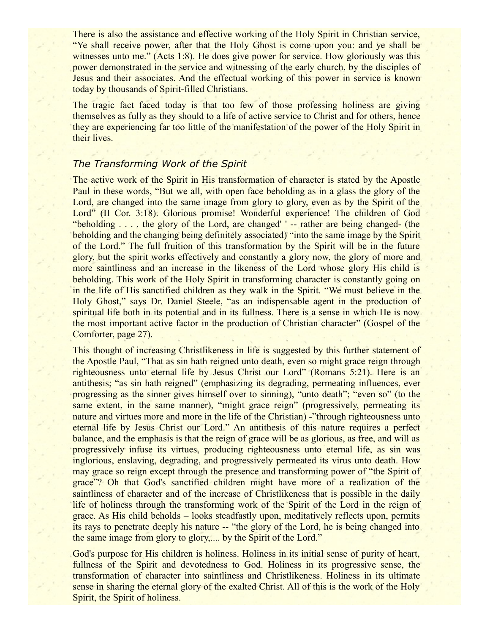There is also the assistance and effective working of the Holy Spirit in Christian service, "Ye shall receive power, after that the Holy Ghost is come upon you: and ye shall be witnesses unto me." (Acts 1:8). He does give power for service. How gloriously was this power demonstrated in the service and witnessing of the early church, by the disciples of Jesus and their associates. And the effectual working of this power in service is known today by thousands of Spirit-filled Christians.

The tragic fact faced today is that too few of those professing holiness are giving themselves as fully as they should to a life of active service to Christ and for others, hence they are experiencing far too little of the manifestation of the power of the Holy Spirit in their lives.

## *The Transforming Work of the Spirit*

The active work of the Spirit in His transformation of character is stated by the Apostle Paul in these words, "But we all, with open face beholding as in a glass the glory of the Lord, are changed into the same image from glory to glory, even as by the Spirit of the Lord" (II Cor. 3:18). Glorious promise! Wonderful experience! The children of God "beholding . . . . the glory of the Lord, are changed' ' -- rather are being changed- (the beholding and the changing being definitely associated) "into the same image by the Spirit of the Lord." The full fruition of this transformation by the Spirit will be in the future glory, but the spirit works effectively and constantly a glory now, the glory of more and more saintliness and an increase in the likeness of the Lord whose glory His child is beholding. This work of the Holy Spirit in transforming character is constantly going on in the life of His sanctified children as they walk in the Spirit. "We must believe in the Holy Ghost," says Dr. Daniel Steele, "as an indispensable agent in the production of spiritual life both in its potential and in its fullness. There is a sense in which He is now the most important active factor in the production of Christian character" (Gospel of the Comforter, page 27).

This thought of increasing Christlikeness in life is suggested by this further statement of the Apostle Paul, "That as sin hath reigned unto death, even so might grace reign through righteousness unto eternal life by Jesus Christ our Lord" (Romans 5:21). Here is an antithesis; "as sin hath reigned" (emphasizing its degrading, permeating influences, ever progressing as the sinner gives himself over to sinning), "unto death"; "even so" (to the same extent, in the same manner), "might grace reign" (progressively, permeating its nature and virtues more and more in the life of the Christian) -"through righteousness unto eternal life by Jesus Christ our Lord." An antithesis of this nature requires a perfect balance, and the emphasis is that the reign of grace will be as glorious, as free, and will as progressively infuse its virtues, producing righteousness unto eternal life, as sin was inglorious, enslaving, degrading, and progressively permeated its virus unto death. How may grace so reign except through the presence and transforming power of "the Spirit of grace"? Oh that God's sanctified children might have more of a realization of the saintliness of character and of the increase of Christlikeness that is possible in the daily life of holiness through the transforming work of the Spirit of the Lord in the reign of grace. As His child beholds – looks steadfastly upon, meditatively reflects upon, permits its rays to penetrate deeply his nature -- "the glory of the Lord, he is being changed into the same image from glory to glory,.... by the Spirit of the Lord."

God's purpose for His children is holiness. Holiness in its initial sense of purity of heart, fullness of the Spirit and devotedness to God. Holiness in its progressive sense, the transformation of character into saintliness and Christlikeness. Holiness in its ultimate sense in sharing the eternal glory of the exalted Christ. All of this is the work of the Holy Spirit, the Spirit of holiness.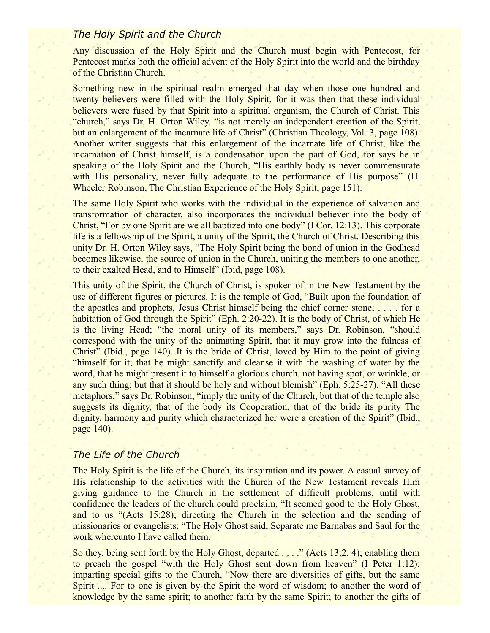#### *The Holy Spirit and the Church*

Any discussion of the Holy Spirit and the Church must begin with Pentecost, for Pentecost marks both the official advent of the Holy Spirit into the world and the birthday of the Christian Church.

Something new in the spiritual realm emerged that day when those one hundred and twenty believers were filled with the Holy Spirit, for it was then that these individual believers were fused by that Spirit into a spiritual organism, the Church of Christ. This "church," says Dr. H. Orton Wiley, "is not merely an independent creation of the Spirit, but an enlargement of the incarnate life of Christ" (Christian Theology, Vol. 3, page 108). Another writer suggests that this enlargement of the incarnate life of Christ, like the incarnation of Christ himself, is a condensation upon the part of God, for says he in speaking of the Holy Spirit and the Church, "His earthly body is never commensurate with His personality, never fully adequate to the performance of His purpose" (H. Wheeler Robinson, The Christian Experience of the Holy Spirit, page 151).

The same Holy Spirit who works with the individual in the experience of salvation and transformation of character, also incorporates the individual believer into the body of Christ, "For by one Spirit are we all baptized into one body" (I Cor. 12:13). This corporate life is a fellowship of the Spirit, a unity of the Spirit, the Church of Christ. Describing this unity Dr. H. Orton Wiley says, "The Holy Spirit being the bond of union in the Godhead becomes likewise, the source of union in the Church, uniting the members to one another, to their exalted Head, and to Himself" (Ibid, page 108).

This unity of the Spirit, the Church of Christ, is spoken of in the New Testament by the use of different figures or pictures. It is the temple of God, "Built upon the foundation of the apostles and prophets, Jesus Christ himself being the chief corner stone; . . . . for a habitation of God through the Spirit" (Eph. 2:20-22). It is the body of Christ, of which He is the living Head; "the moral unity of its members," says Dr. Robinson, "should correspond with the unity of the animating Spirit, that it may grow into the fulness of Christ" (Ibid., page 140). It is the bride of Christ, loved by Him to the point of giving "himself for it; that he might sanctify and cleanse it with the washing of water by the word, that he might present it to himself a glorious church, not having spot, or wrinkle, or any such thing; but that it should be holy and without blemish" (Eph. 5:25-27). "All these metaphors," says Dr. Robinson, "imply the unity of the Church, but that of the temple also suggests its dignity, that of the body its Cooperation, that of the bride its purity The dignity, harmony and purity which characterized her were a creation of the Spirit" (Ibid., page 140).

## *The Life of the Church*

The Holy Spirit is the life of the Church, its inspiration and its power. A casual survey of His relationship to the activities with the Church of the New Testament reveals Him giving guidance to the Church in the settlement of difficult problems, until with confidence the leaders of the church could proclaim, "It seemed good to the Holy Ghost, and to us "(Acts 15:28); directing the Church in the selection and the sending of missionaries or evangelists; "The Holy Ghost said, Separate me Barnabas and Saul for the work whereunto I have called them.

So they, being sent forth by the Holy Ghost, departed . . . ." (Acts 13:2, 4); enabling them to preach the gospel "with the Holy Ghost sent down from heaven" (I Peter 1:12); imparting special gifts to the Church, "Now there are diversities of gifts, but the same Spirit .... For to one is given by the Spirit the word of wisdom; to another the word of knowledge by the same spirit; to another faith by the same Spirit; to another the gifts of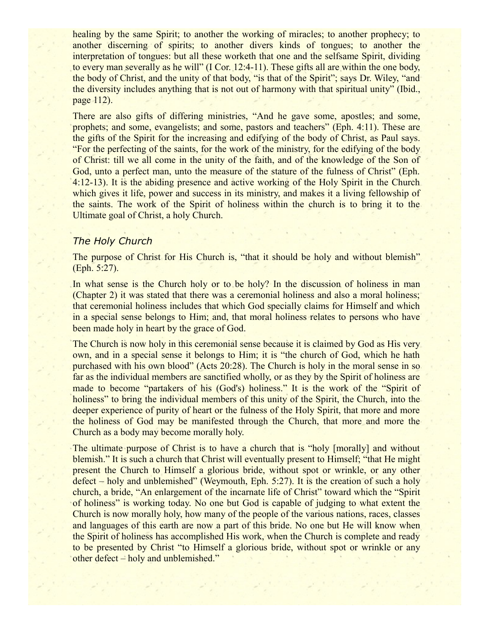healing by the same Spirit; to another the working of miracles; to another prophecy; to another discerning of spirits; to another divers kinds of tongues; to another the interpretation of tongues: but all these worketh that one and the selfsame Spirit, dividing to every man severally as he will" (I Cor. 12:4-11). These gifts all are within the one body, the body of Christ, and the unity of that body, "is that of the Spirit"; says Dr. Wiley, "and the diversity includes anything that is not out of harmony with that spiritual unity" (Ibid., page 112).

There are also gifts of differing ministries, "And he gave some, apostles; and some, prophets; and some, evangelists; and some, pastors and teachers" (Eph. 4:11). These are the gifts of the Spirit for the increasing and edifying of the body of Christ, as Paul says. "For the perfecting of the saints, for the work of the ministry, for the edifying of the body of Christ: till we all come in the unity of the faith, and of the knowledge of the Son of God, unto a perfect man, unto the measure of the stature of the fulness of Christ" (Eph. 4:12-13). It is the abiding presence and active working of the Holy Spirit in the Church which gives it life, power and success in its ministry, and makes it a living fellowship of the saints. The work of the Spirit of holiness within the church is to bring it to the Ultimate goal of Christ, a holy Church.

### *The Holy Church*

The purpose of Christ for His Church is, "that it should be holy and without blemish" (Eph. 5:27).

In what sense is the Church holy or to be holy? In the discussion of holiness in man (Chapter 2) it was stated that there was a ceremonial holiness and also a moral holiness; that ceremonial holiness includes that which God specially claims for Himself and which in a special sense belongs to Him; and, that moral holiness relates to persons who have been made holy in heart by the grace of God.

The Church is now holy in this ceremonial sense because it is claimed by God as His very own, and in a special sense it belongs to Him; it is "the church of God, which he hath purchased with his own blood" (Acts 20:28). The Church is holy in the moral sense in so far as the individual members are sanctified wholly, or as they by the Spirit of holiness are made to become "partakers of his (God's) holiness." It is the work of the "Spirit of holiness" to bring the individual members of this unity of the Spirit, the Church, into the deeper experience of purity of heart or the fulness of the Holy Spirit, that more and more the holiness of God may be manifested through the Church, that more and more the Church as a body may become morally holy.

The ultimate purpose of Christ is to have a church that is "holy [morally] and without blemish." It is such a church that Christ will eventually present to Himself; "that He might present the Church to Himself a glorious bride, without spot or wrinkle, or any other defect – holy and unblemished" (Weymouth, Eph. 5:27). It is the creation of such a holy church, a bride, "An enlargement of the incarnate life of Christ" toward which the "Spirit of holiness" is working today. No one but God is capable of judging to what extent the Church is now morally holy, how many of the people of the various nations, races, classes and languages of this earth are now a part of this bride. No one but He will know when the Spirit of holiness has accomplished His work, when the Church is complete and ready to be presented by Christ "to Himself a glorious bride, without spot or wrinkle or any other defect – holy and unblemished."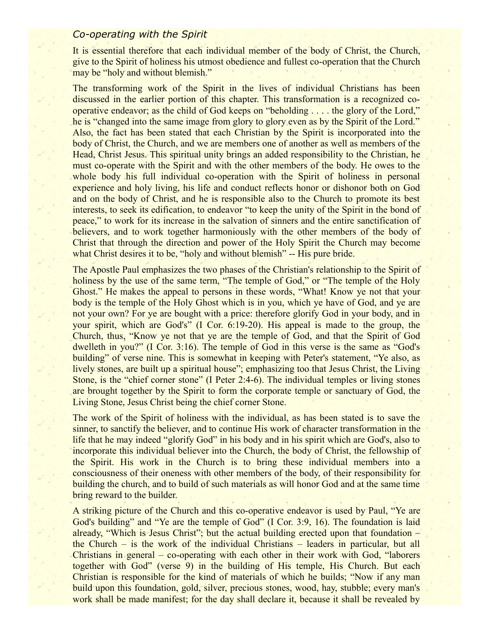#### *Co-operating with the Spirit*

It is essential therefore that each individual member of the body of Christ, the Church, give to the Spirit of holiness his utmost obedience and fullest co-operation that the Church may be "holy and without blemish."

The transforming work of the Spirit in the lives of individual Christians has been discussed in the earlier portion of this chapter. This transformation is a recognized cooperative endeavor; as the child of God keeps on "beholding . . . . the glory of the Lord," he is "changed into the same image from glory to glory even as by the Spirit of the Lord." Also, the fact has been stated that each Christian by the Spirit is incorporated into the body of Christ, the Church, and we are members one of another as well as members of the Head, Christ Jesus. This spiritual unity brings an added responsibility to the Christian, he must co-operate with the Spirit and with the other members of the body. He owes to the whole body his full individual co-operation with the Spirit of holiness in personal experience and holy living, his life and conduct reflects honor or dishonor both on God and on the body of Christ, and he is responsible also to the Church to promote its best interests, to seek its edification, to endeavor "to keep the unity of the Spirit in the bond of peace," to work for its increase in the salvation of sinners and the entire sanctification of believers, and to work together harmoniously with the other members of the body of Christ that through the direction and power of the Holy Spirit the Church may become what Christ desires it to be, "holy and without blemish" -- His pure bride.

The Apostle Paul emphasizes the two phases of the Christian's relationship to the Spirit of holiness by the use of the same term, "The temple of God," or "The temple of the Holy Ghost." He makes the appeal to persons in these words, "What! Know ye not that your body is the temple of the Holy Ghost which is in you, which ye have of God, and ye are not your own? For ye are bought with a price: therefore glorify God in your body, and in your spirit, which are God's" (I Cor. 6:19-20). His appeal is made to the group, the Church, thus, "Know ye not that ye are the temple of God, and that the Spirit of God dwelleth in you?" (I Cor. 3:16). The temple of God in this verse is the same as "God's building" of verse nine. This is somewhat in keeping with Peter's statement, "Ye also, as lively stones, are built up a spiritual house"; emphasizing too that Jesus Christ, the Living Stone, is the "chief corner stone" (I Peter 2:4-6). The individual temples or living stones are brought together by the Spirit to form the corporate temple or sanctuary of God, the Living Stone, Jesus Christ being the chief corner Stone.

The work of the Spirit of holiness with the individual, as has been stated is to save the sinner, to sanctify the believer, and to continue His work of character transformation in the life that he may indeed "glorify God" in his body and in his spirit which are God's, also to incorporate this individual believer into the Church, the body of Christ, the fellowship of the Spirit. His work in the Church is to bring these individual members into a consciousness of their oneness with other members of the body, of their responsibility for building the church, and to build of such materials as will honor God and at the same time bring reward to the builder.

A striking picture of the Church and this co-operative endeavor is used by Paul, "Ye are God's building" and "Ye are the temple of God" (I Cor. 3:9, 16). The foundation is laid already, "Which is Jesus Christ"; but the actual building erected upon that foundation – the Church – is the work of the individual Christians – leaders in particular, but all Christians in general – co-operating with each other in their work with God, "laborers together with God" (verse 9) in the building of His temple, His Church. But each Christian is responsible for the kind of materials of which he builds; "Now if any man build upon this foundation, gold, silver, precious stones, wood, hay, stubble; every man's work shall be made manifest; for the day shall declare it, because it shall be revealed by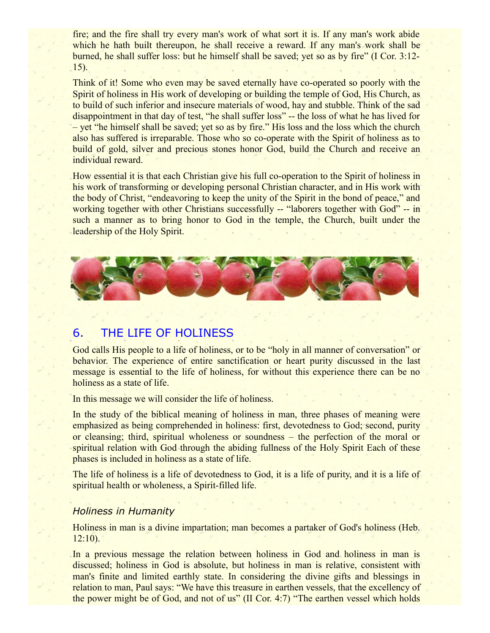fire; and the fire shall try every man's work of what sort it is. If any man's work abide which he hath built thereupon, he shall receive a reward. If any man's work shall be burned, he shall suffer loss: but he himself shall be saved; yet so as by fire" (I Cor. 3:12- 15).

Think of it! Some who even may be saved eternally have co-operated so poorly with the Spirit of holiness in His work of developing or building the temple of God, His Church, as to build of such inferior and insecure materials of wood, hay and stubble. Think of the sad disappointment in that day of test, "he shall suffer loss" -- the loss of what he has lived for – yet "he himself shall be saved; yet so as by fire." His loss and the loss which the church also has suffered is irreparable. Those who so co-operate with the Spirit of holiness as to build of gold, silver and precious stones honor God, build the Church and receive an individual reward.

How essential it is that each Christian give his full co-operation to the Spirit of holiness in his work of transforming or developing personal Christian character, and in His work with the body of Christ, "endeavoring to keep the unity of the Spirit in the bond of peace," and working together with other Christians successfully -- "laborers together with God" -- in such a manner as to bring honor to God in the temple, the Church, built under the leadership of the Holy Spirit.



# 6. THE LIFE OF HOLINESS

God calls His people to a life of holiness, or to be "holy in all manner of conversation" or behavior. The experience of entire sanctification or heart purity discussed in the last message is essential to the life of holiness, for without this experience there can be no holiness as a state of life.

In this message we will consider the life of holiness.

In the study of the biblical meaning of holiness in man, three phases of meaning were emphasized as being comprehended in holiness: first, devotedness to God; second, purity or cleansing; third, spiritual wholeness or soundness – the perfection of the moral or spiritual relation with God through the abiding fullness of the Holy Spirit Each of these phases is included in holiness as a state of life.

The life of holiness is a life of devotedness to God, it is a life of purity, and it is a life of spiritual health or wholeness, a Spirit-filled life.

## *Holiness in Humanity*

Holiness in man is a divine impartation; man becomes a partaker of God's holiness (Heb. 12:10).

In a previous message the relation between holiness in God and holiness in man is discussed; holiness in God is absolute, but holiness in man is relative, consistent with man's finite and limited earthly state. In considering the divine gifts and blessings in relation to man, Paul says: "We have this treasure in earthen vessels, that the excellency of the power might be of God, and not of us" (II Cor. 4:7) "The earthen vessel which holds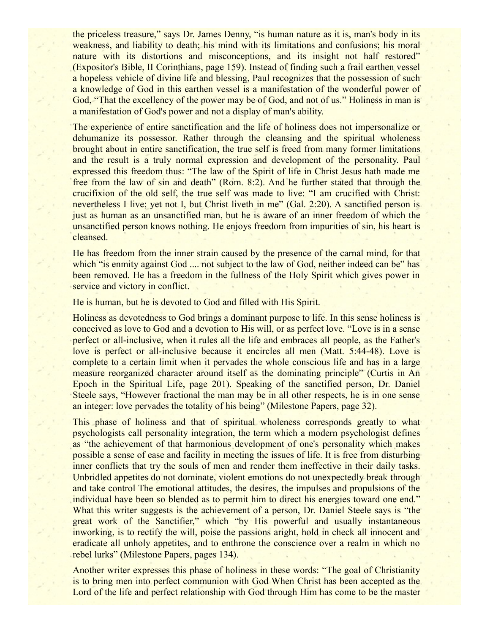the priceless treasure," says Dr. James Denny, "is human nature as it is, man's body in its weakness, and liability to death; his mind with its limitations and confusions; his moral nature with its distortions and misconceptions, and its insight not half restored" (Expositor's Bible, II Corinthians, page 159). Instead of finding such a frail earthen vessel a hopeless vehicle of divine life and blessing, Paul recognizes that the possession of such a knowledge of God in this earthen vessel is a manifestation of the wonderful power of God, "That the excellency of the power may be of God, and not of us." Holiness in man is a manifestation of God's power and not a display of man's ability.

The experience of entire sanctification and the life of holiness does not impersonalize or dehumanize its possessor. Rather through the cleansing and the spiritual wholeness brought about in entire sanctification, the true self is freed from many former limitations and the result is a truly normal expression and development of the personality. Paul expressed this freedom thus: "The law of the Spirit of life in Christ Jesus hath made me free from the law of sin and death" (Rom. 8:2). And he further stated that through the crucifixion of the old self, the true self was made to live: "I am crucified with Christ: nevertheless I live; yet not I, but Christ liveth in me" (Gal. 2:20). A sanctified person is just as human as an unsanctified man, but he is aware of an inner freedom of which the unsanctified person knows nothing. He enjoys freedom from impurities of sin, his heart is cleansed.

He has freedom from the inner strain caused by the presence of the carnal mind, for that which "is enmity against God .... not subject to the law of God, neither indeed can be" has been removed. He has a freedom in the fullness of the Holy Spirit which gives power in service and victory in conflict.

He is human, but he is devoted to God and filled with His Spirit.

Holiness as devotedness to God brings a dominant purpose to life. In this sense holiness is conceived as love to God and a devotion to His will, or as perfect love. "Love is in a sense perfect or all-inclusive, when it rules all the life and embraces all people, as the Father's love is perfect or all-inclusive because it encircles all men (Matt. 5:44-48). Love is complete to a certain limit when it pervades the whole conscious life and has in a large measure reorganized character around itself as the dominating principle" (Curtis in An Epoch in the Spiritual Life, page 201). Speaking of the sanctified person, Dr. Daniel Steele says, "However fractional the man may be in all other respects, he is in one sense an integer: love pervades the totality of his being" (Milestone Papers, page 32).

This phase of holiness and that of spiritual wholeness corresponds greatly to what psychologists call personality integration, the term which a modern psychologist defines as "the achievement of that harmonious development of one's personality which makes possible a sense of ease and facility in meeting the issues of life. It is free from disturbing inner conflicts that try the souls of men and render them ineffective in their daily tasks. Unbridled appetites do not dominate, violent emotions do not unexpectedly break through and take control The emotional attitudes, the desires, the impulses and propulsions of the individual have been so blended as to permit him to direct his energies toward one end." What this writer suggests is the achievement of a person, Dr. Daniel Steele says is "the great work of the Sanctifier," which "by His powerful and usually instantaneous inworking, is to rectify the will, poise the passions aright, hold in check all innocent and eradicate all unholy appetites, and to enthrone the conscience over a realm in which no rebel lurks" (Milestone Papers, pages 134).

Another writer expresses this phase of holiness in these words: "The goal of Christianity is to bring men into perfect communion with God When Christ has been accepted as the Lord of the life and perfect relationship with God through Him has come to be the master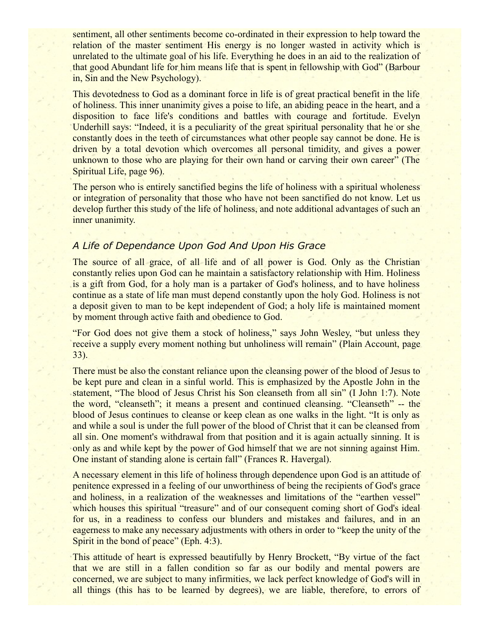sentiment, all other sentiments become co-ordinated in their expression to help toward the relation of the master sentiment His energy is no longer wasted in activity which is unrelated to the ultimate goal of his life. Everything he does in an aid to the realization of that good Abundant life for him means life that is spent in fellowship with God" (Barbour in, Sin and the New Psychology).

This devotedness to God as a dominant force in life is of great practical benefit in the life of holiness. This inner unanimity gives a poise to life, an abiding peace in the heart, and a disposition to face life's conditions and battles with courage and fortitude. Evelyn Underhill says: "Indeed, it is a peculiarity of the great spiritual personality that he or she constantly does in the teeth of circumstances what other people say cannot be done. He is driven by a total devotion which overcomes all personal timidity, and gives a power unknown to those who are playing for their own hand or carving their own career" (The Spiritual Life, page 96).

The person who is entirely sanctified begins the life of holiness with a spiritual wholeness or integration of personality that those who have not been sanctified do not know. Let us develop further this study of the life of holiness, and note additional advantages of such an inner unanimity.

## *A Life of Dependance Upon God And Upon His Grace*

The source of all grace, of all life and of all power is God. Only as the Christian constantly relies upon God can he maintain a satisfactory relationship with Him. Holiness is a gift from God, for a holy man is a partaker of God's holiness, and to have holiness continue as a state of life man must depend constantly upon the holy God. Holiness is not a deposit given to man to be kept independent of God; a holy life is maintained moment by moment through active faith and obedience to God.

"For God does not give them a stock of holiness," says John Wesley, "but unless they receive a supply every moment nothing but unholiness will remain" (Plain Account, page 33).

There must be also the constant reliance upon the cleansing power of the blood of Jesus to be kept pure and clean in a sinful world. This is emphasized by the Apostle John in the statement, "The blood of Jesus Christ his Son cleanseth from all sin" (I John 1:7). Note the word, "cleanseth"; it means a present and continued cleansing. "Cleanseth" -- the blood of Jesus continues to cleanse or keep clean as one walks in the light. "It is only as and while a soul is under the full power of the blood of Christ that it can be cleansed from all sin. One moment's withdrawal from that position and it is again actually sinning. It is only as and while kept by the power of God himself that we are not sinning against Him. One instant of standing alone is certain fall" (Frances R. Havergal).

A necessary element in this life of holiness through dependence upon God is an attitude of penitence expressed in a feeling of our unworthiness of being the recipients of God's grace and holiness, in a realization of the weaknesses and limitations of the "earthen vessel" which houses this spiritual "treasure" and of our consequent coming short of God's ideal for us, in a readiness to confess our blunders and mistakes and failures, and in an eagerness to make any necessary adjustments with others in order to "keep the unity of the Spirit in the bond of peace" (Eph. 4:3).

This attitude of heart is expressed beautifully by Henry Brockett, "By virtue of the fact that we are still in a fallen condition so far as our bodily and mental powers are concerned, we are subject to many infirmities, we lack perfect knowledge of God's will in all things (this has to be learned by degrees), we are liable, therefore, to errors of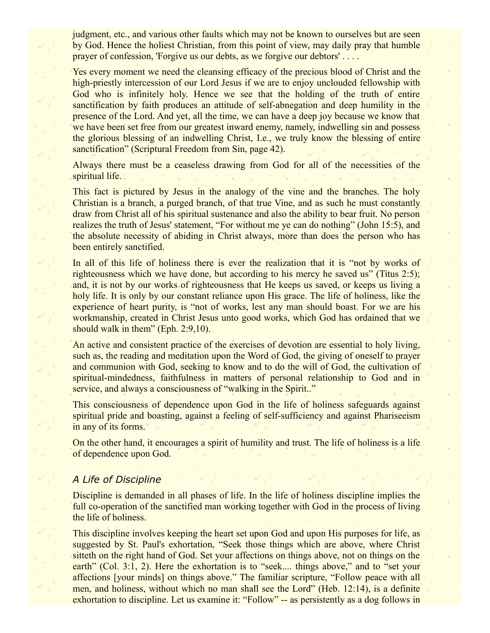judgment, etc., and various other faults which may not be known to ourselves but are seen by God. Hence the holiest Christian, from this point of view, may daily pray that humble prayer of confession, 'Forgive us our debts, as we forgive our debtors' . . . .

Yes every moment we need the cleansing efficacy of the precious blood of Christ and the high-priestly intercession of our Lord Jesus if we are to enjoy unclouded fellowship with God who is infinitely holy. Hence we see that the holding of the truth of entire sanctification by faith produces an attitude of self-abnegation and deep humility in the presence of the Lord. And yet, all the time, we can have a deep joy because we know that we have been set free from our greatest inward enemy, namely, indwelling sin and possess the glorious blessing of an indwelling Christ, I.e., we truly know the blessing of entire sanctification" (Scriptural Freedom from Sin, page 42).

Always there must be a ceaseless drawing from God for all of the necessities of the spiritual life.

This fact is pictured by Jesus in the analogy of the vine and the branches. The holy Christian is a branch, a purged branch, of that true Vine, and as such he must constantly draw from Christ all of his spiritual sustenance and also the ability to bear fruit. No person realizes the truth of Jesus' statement, "For without me ye can do nothing" (John 15:5), and the absolute necessity of abiding in Christ always, more than does the person who has been entirely sanctified.

In all of this life of holiness there is ever the realization that it is "not by works of righteousness which we have done, but according to his mercy he saved us" (Titus 2:5); and, it is not by our works of righteousness that He keeps us saved, or keeps us living a holy life. It is only by our constant reliance upon His grace. The life of holiness, like the experience of heart purity, is "not of works, lest any man should boast. For we are his workmanship, created in Christ Jesus unto good works, which God has ordained that we should walk in them" (Eph. 2:9,10).

An active and consistent practice of the exercises of devotion are essential to holy living, such as, the reading and meditation upon the Word of God, the giving of oneself to prayer and communion with God, seeking to know and to do the will of God, the cultivation of spiritual-mindedness, faithfulness in matters of personal relationship to God and in service, and always a consciousness of "walking in the Spirit.."

This consciousness of dependence upon God in the life of holiness safeguards against spiritual pride and boasting, against a feeling of self-sufficiency and against Phariseeism in any of its forms.

On the other hand, it encourages a spirit of humility and trust. The life of holiness is a life of dependence upon God.

#### *A Life of Discipline*

Discipline is demanded in all phases of life. In the life of holiness discipline implies the full co-operation of the sanctified man working together with God in the process of living the life of holiness.

This discipline involves keeping the heart set upon God and upon His purposes for life, as suggested by St. Paul's exhortation, "Seek those things which are above, where Christ sitteth on the right hand of God. Set your affections on things above, not on things on the earth" (Col. 3:1, 2). Here the exhortation is to "seek.... things above," and to "set your affections [your minds] on things above." The familiar scripture, "Follow peace with all men, and holiness, without which no man shall see the Lord" (Heb. 12:14), is a definite exhortation to discipline. Let us examine it: "Follow" -- as persistently as a dog follows in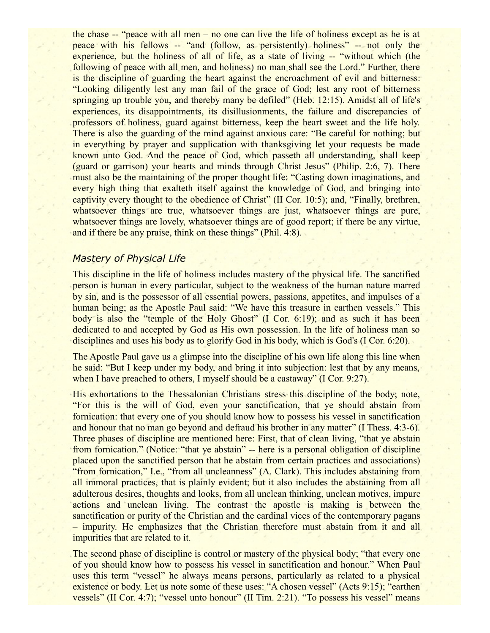the chase -- "peace with all men – no one can live the life of holiness except as he is at peace with his fellows -- "and (follow, as persistently) holiness" -- not only the experience, but the holiness of all of life, as a state of living -- "without which (the following of peace with all men, and holiness) no man shall see the Lord." Further, there is the discipline of guarding the heart against the encroachment of evil and bitterness: "Looking diligently lest any man fail of the grace of God; lest any root of bitterness springing up trouble you, and thereby many be defiled" (Heb. 12:15). Amidst all of life's experiences, its disappointments, its disillusionments, the failure and discrepancies of professors of holiness, guard against bitterness, keep the heart sweet and the life holy. There is also the guarding of the mind against anxious care: "Be careful for nothing; but in everything by prayer and supplication with thanksgiving let your requests be made known unto God. And the peace of God, which passeth all understanding, shall keep (guard or garrison) your hearts and minds through Christ Jesus" (Philip. 2:6, 7). There must also be the maintaining of the proper thought life: "Casting down imaginations, and every high thing that exalteth itself against the knowledge of God, and bringing into captivity every thought to the obedience of Christ" (II Cor. 10:5); and, "Finally, brethren, whatsoever things are true, whatsoever things are just, whatsoever things are pure, whatsoever things are lovely, whatsoever things are of good report; if there be any virtue, and if there be any praise, think on these things" (Phil. 4:8).

## *Mastery of Physical Life*

This discipline in the life of holiness includes mastery of the physical life. The sanctified person is human in every particular, subject to the weakness of the human nature marred by sin, and is the possessor of all essential powers, passions, appetites, and impulses of a human being; as the Apostle Paul said: "We have this treasure in earthen vessels." This body is also the "temple of the Holy Ghost" (I Cor. 6:19); and as such it has been dedicated to and accepted by God as His own possession. In the life of holiness man so disciplines and uses his body as to glorify God in his body, which is God's (I Cor. 6:20).

The Apostle Paul gave us a glimpse into the discipline of his own life along this line when he said: "But I keep under my body, and bring it into subjection: lest that by any means, when I have preached to others, I myself should be a castaway" (I Cor. 9:27).

His exhortations to the Thessalonian Christians stress this discipline of the body; note, "For this is the will of God, even your sanctification, that ye should abstain from fornication: that every one of you should know how to possess his vessel in sanctification and honour that no man go beyond and defraud his brother in any matter" (I Thess. 4:3-6). Three phases of discipline are mentioned here: First, that of clean living, "that ye abstain from fornication." (Notice: "that ye abstain" -- here is a personal obligation of discipline placed upon the sanctified person that he abstain from certain practices and associations) "from fornication," I.e., "from all uncleanness" (A. Clark). This includes abstaining from all immoral practices, that is plainly evident; but it also includes the abstaining from all adulterous desires, thoughts and looks, from all unclean thinking, unclean motives, impure actions and unclean living. The contrast the apostle is making is between the sanctification or purity of the Christian and the cardinal vices of the contemporary pagans – impurity. He emphasizes that the Christian therefore must abstain from it and all impurities that are related to it.

The second phase of discipline is control or mastery of the physical body; "that every one of you should know how to possess his vessel in sanctification and honour." When Paul uses this term "vessel" he always means persons, particularly as related to a physical existence or body. Let us note some of these uses: "A chosen vessel" (Acts 9:15); "earthen vessels" (II Cor. 4:7); "vessel unto honour" (II Tim. 2:21). "To possess his vessel" means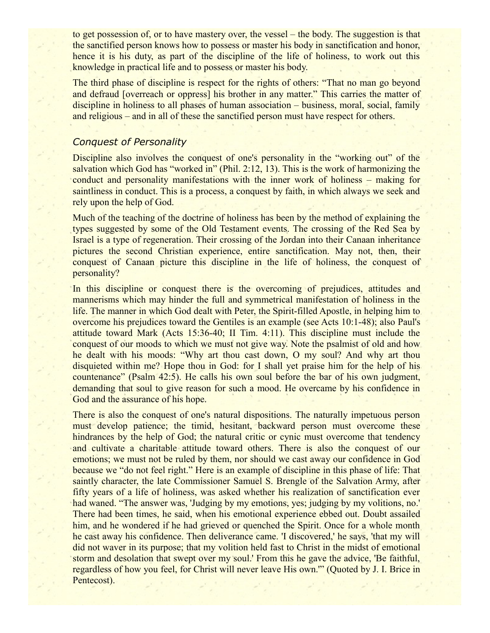to get possession of, or to have mastery over, the vessel – the body. The suggestion is that the sanctified person knows how to possess or master his body in sanctification and honor, hence it is his duty, as part of the discipline of the life of holiness, to work out this knowledge in practical life and to possess or master his body.

The third phase of discipline is respect for the rights of others: "That no man go beyond and defraud [overreach or oppress] his brother in any matter." This carries the matter of discipline in holiness to all phases of human association – business, moral, social, family and religious – and in all of these the sanctified person must have respect for others.

## *Conquest of Personality*

Discipline also involves the conquest of one's personality in the "working out" of the salvation which God has "worked in" (Phil. 2:12, 13). This is the work of harmonizing the conduct and personality manifestations with the inner work of holiness – making for saintliness in conduct. This is a process, a conquest by faith, in which always we seek and rely upon the help of God.

Much of the teaching of the doctrine of holiness has been by the method of explaining the types suggested by some of the Old Testament events. The crossing of the Red Sea by Israel is a type of regeneration. Their crossing of the Jordan into their Canaan inheritance pictures the second Christian experience, entire sanctification. May not, then, their conquest of Canaan picture this discipline in the life of holiness, the conquest of personality?

In this discipline or conquest there is the overcoming of prejudices, attitudes and mannerisms which may hinder the full and symmetrical manifestation of holiness in the life. The manner in which God dealt with Peter, the Spirit-filled Apostle, in helping him to overcome his prejudices toward the Gentiles is an example (see Acts 10:1-48); also Paul's attitude toward Mark (Acts 15:36-40; II Tim. 4:11). This discipline must include the conquest of our moods to which we must not give way. Note the psalmist of old and how he dealt with his moods: "Why art thou cast down, O my soul? And why art thou disquieted within me? Hope thou in God: for I shall yet praise him for the help of his countenance" (Psalm 42:5). He calls his own soul before the bar of his own judgment, demanding that soul to give reason for such a mood. He overcame by his confidence in God and the assurance of his hope.

There is also the conquest of one's natural dispositions. The naturally impetuous person must develop patience; the timid, hesitant, backward person must overcome these hindrances by the help of God; the natural critic or cynic must overcome that tendency and cultivate a charitable attitude toward others. There is also the conquest of our emotions; we must not be ruled by them, nor should we cast away our confidence in God because we "do not feel right." Here is an example of discipline in this phase of life: That saintly character, the late Commissioner Samuel S. Brengle of the Salvation Army, after fifty years of a life of holiness, was asked whether his realization of sanctification ever had waned. "The answer was, 'Judging by my emotions, yes; judging by my volitions, no.' There had been times, he said, when his emotional experience ebbed out. Doubt assailed him, and he wondered if he had grieved or quenched the Spirit. Once for a whole month he cast away his confidence. Then deliverance came. 'I discovered,' he says, 'that my will did not waver in its purpose; that my volition held fast to Christ in the midst of emotional storm and desolation that swept over my soul.' From this he gave the advice, 'Be faithful, regardless of how you feel, for Christ will never leave His own.'" (Quoted by J. I. Brice in Pentecost).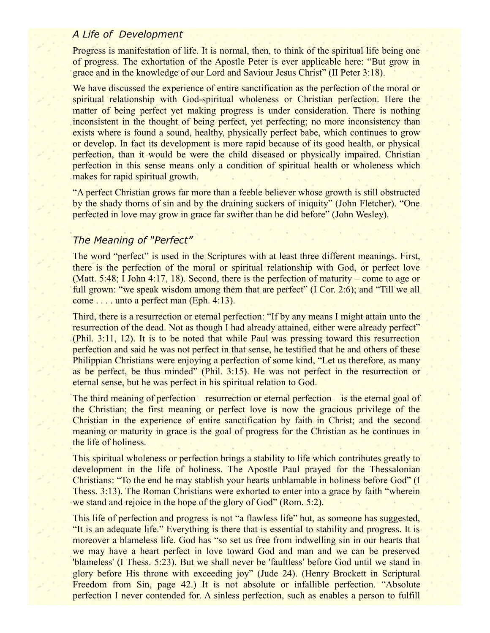### *A Life of Development*

Progress is manifestation of life. It is normal, then, to think of the spiritual life being one of progress. The exhortation of the Apostle Peter is ever applicable here: "But grow in grace and in the knowledge of our Lord and Saviour Jesus Christ" (II Peter 3:18).

We have discussed the experience of entire sanctification as the perfection of the moral or spiritual relationship with God-spiritual wholeness or Christian perfection. Here the matter of being perfect yet making progress is under consideration. There is nothing inconsistent in the thought of being perfect, yet perfecting; no more inconsistency than exists where is found a sound, healthy, physically perfect babe, which continues to grow or develop. In fact its development is more rapid because of its good health, or physical perfection, than it would be were the child diseased or physically impaired. Christian perfection in this sense means only a condition of spiritual health or wholeness which makes for rapid spiritual growth.

"A perfect Christian grows far more than a feeble believer whose growth is still obstructed by the shady thorns of sin and by the draining suckers of iniquity" (John Fletcher). "One perfected in love may grow in grace far swifter than he did before" (John Wesley).

## *The Meaning of "Perfect"*

The word "perfect" is used in the Scriptures with at least three different meanings. First, there is the perfection of the moral or spiritual relationship with God, or perfect love (Matt. 5:48; I John 4:17, 18). Second, there is the perfection of maturity – come to age or full grown: "we speak wisdom among them that are perfect" (I Cor. 2:6); and "Till we all come . . . . unto a perfect man (Eph. 4:13).

Third, there is a resurrection or eternal perfection: "If by any means I might attain unto the resurrection of the dead. Not as though I had already attained, either were already perfect" (Phil. 3:11, 12). It is to be noted that while Paul was pressing toward this resurrection perfection and said he was not perfect in that sense, he testified that he and others of these Philippian Christians were enjoying a perfection of some kind, "Let us therefore, as many as be perfect, be thus minded" (Phil. 3:15). He was not perfect in the resurrection or eternal sense, but he was perfect in his spiritual relation to God.

The third meaning of perfection – resurrection or eternal perfection – is the eternal goal of the Christian; the first meaning or perfect love is now the gracious privilege of the Christian in the experience of entire sanctification by faith in Christ; and the second meaning or maturity in grace is the goal of progress for the Christian as he continues in the life of holiness.

This spiritual wholeness or perfection brings a stability to life which contributes greatly to development in the life of holiness. The Apostle Paul prayed for the Thessalonian Christians: "To the end he may stablish your hearts unblamable in holiness before God" (I Thess. 3:13). The Roman Christians were exhorted to enter into a grace by faith "wherein we stand and rejoice in the hope of the glory of God" (Rom. 5:2).

This life of perfection and progress is not "a flawless life" but, as someone has suggested, "It is an adequate life." Everything is there that is essential to stability and progress. It is moreover a blameless life. God has "so set us free from indwelling sin in our hearts that we may have a heart perfect in love toward God and man and we can be preserved 'blameless' (I Thess. 5:23). But we shall never be 'faultless' before God until we stand in glory before His throne with exceeding joy" (Jude 24). (Henry Brockett in Scriptural Freedom from Sin, page 42.) It is not absolute or infallible perfection. "Absolute perfection I never contended for. A sinless perfection, such as enables a person to fulfill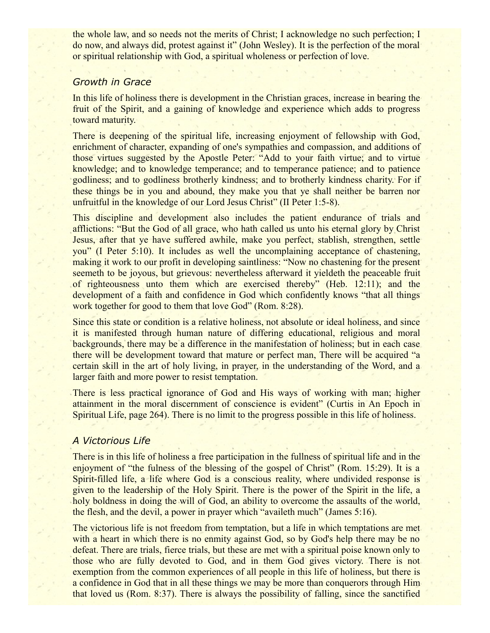the whole law, and so needs not the merits of Christ; I acknowledge no such perfection; I do now, and always did, protest against it" (John Wesley). It is the perfection of the moral or spiritual relationship with God, a spiritual wholeness or perfection of love.

## *Growth in Grace*

In this life of holiness there is development in the Christian graces, increase in bearing the fruit of the Spirit, and a gaining of knowledge and experience which adds to progress toward maturity.

There is deepening of the spiritual life, increasing enjoyment of fellowship with God, enrichment of character, expanding of one's sympathies and compassion, and additions of those virtues suggested by the Apostle Peter: "Add to your faith virtue; and to virtue knowledge; and to knowledge temperance; and to temperance patience; and to patience godliness; and to godliness brotherly kindness; and to brotherly kindness charity. For if these things be in you and abound, they make you that ye shall neither be barren nor unfruitful in the knowledge of our Lord Jesus Christ" (II Peter 1:5-8).

This discipline and development also includes the patient endurance of trials and afflictions: "But the God of all grace, who hath called us unto his eternal glory by Christ Jesus, after that ye have suffered awhile, make you perfect, stablish, strengthen, settle you" (I Peter 5:10). It includes as well the uncomplaining acceptance of chastening, making it work to our profit in developing saintliness: "Now no chastening for the present seemeth to be joyous, but grievous: nevertheless afterward it yieldeth the peaceable fruit of righteousness unto them which are exercised thereby" (Heb. 12:11); and the development of a faith and confidence in God which confidently knows "that all things work together for good to them that love God" (Rom. 8:28).

Since this state or condition is a relative holiness, not absolute or ideal holiness, and since it is manifested through human nature of differing educational, religious and moral backgrounds, there may be a difference in the manifestation of holiness; but in each case there will be development toward that mature or perfect man, There will be acquired "a certain skill in the art of holy living, in prayer, in the understanding of the Word, and a larger faith and more power to resist temptation.

There is less practical ignorance of God and His ways of working with man; higher attainment in the moral discernment of conscience is evident" (Curtis in An Epoch in Spiritual Life, page 264). There is no limit to the progress possible in this life of holiness.

### *A Victorious Life*

There is in this life of holiness a free participation in the fullness of spiritual life and in the enjoyment of "the fulness of the blessing of the gospel of Christ" (Rom. 15:29). It is a Spirit-filled life, a life where God is a conscious reality, where undivided response is given to the leadership of the Holy Spirit. There is the power of the Spirit in the life, a holy boldness in doing the will of God, an ability to overcome the assaults of the world, the flesh, and the devil, a power in prayer which "availeth much" (James 5:16).

The victorious life is not freedom from temptation, but a life in which temptations are met with a heart in which there is no enmity against God, so by God's help there may be no defeat. There are trials, fierce trials, but these are met with a spiritual poise known only to those who are fully devoted to God, and in them God gives victory. There is not exemption from the common experiences of all people in this life of holiness, but there is a confidence in God that in all these things we may be more than conquerors through Him that loved us (Rom. 8:37). There is always the possibility of falling, since the sanctified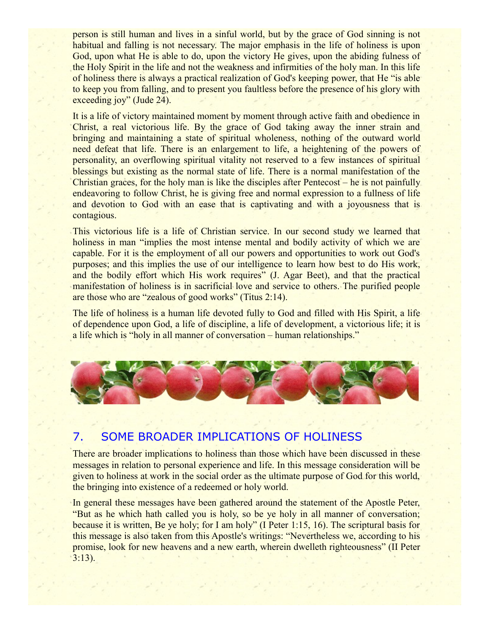person is still human and lives in a sinful world, but by the grace of God sinning is not habitual and falling is not necessary. The major emphasis in the life of holiness is upon God, upon what He is able to do, upon the victory He gives, upon the abiding fulness of the Holy Spirit in the life and not the weakness and infirmities of the holy man. In this life of holiness there is always a practical realization of God's keeping power, that He "is able to keep you from falling, and to present you faultless before the presence of his glory with exceeding joy" (Jude 24).

It is a life of victory maintained moment by moment through active faith and obedience in Christ, a real victorious life. By the grace of God taking away the inner strain and bringing and maintaining a state of spiritual wholeness, nothing of the outward world need defeat that life. There is an enlargement to life, a heightening of the powers of personality, an overflowing spiritual vitality not reserved to a few instances of spiritual blessings but existing as the normal state of life. There is a normal manifestation of the Christian graces, for the holy man is like the disciples after Pentecost – he is not painfully endeavoring to follow Christ, he is giving free and normal expression to a fullness of life and devotion to God with an ease that is captivating and with a joyousness that is contagious.

This victorious life is a life of Christian service. In our second study we learned that holiness in man "implies the most intense mental and bodily activity of which we are capable. For it is the employment of all our powers and opportunities to work out God's purposes; and this implies the use of our intelligence to learn how best to do His work, and the bodily effort which His work requires" (J. Agar Beet), and that the practical manifestation of holiness is in sacrificial love and service to others. The purified people are those who are "zealous of good works" (Titus 2:14).

The life of holiness is a human life devoted fully to God and filled with His Spirit, a life of dependence upon God, a life of discipline, a life of development, a victorious life; it is a life which is "holy in all manner of conversation – human relationships."



# 7. SOME BROADER IMPLICATIONS OF HOLINESS

There are broader implications to holiness than those which have been discussed in these messages in relation to personal experience and life. In this message consideration will be given to holiness at work in the social order as the ultimate purpose of God for this world, the bringing into existence of a redeemed or holy world.

In general these messages have been gathered around the statement of the Apostle Peter, "But as he which hath called you is holy, so be ye holy in all manner of conversation; because it is written, Be ye holy; for I am holy" (I Peter 1:15, 16). The scriptural basis for this message is also taken from this Apostle's writings: "Nevertheless we, according to his promise, look for new heavens and a new earth, wherein dwelleth righteousness" (II Peter 3:13).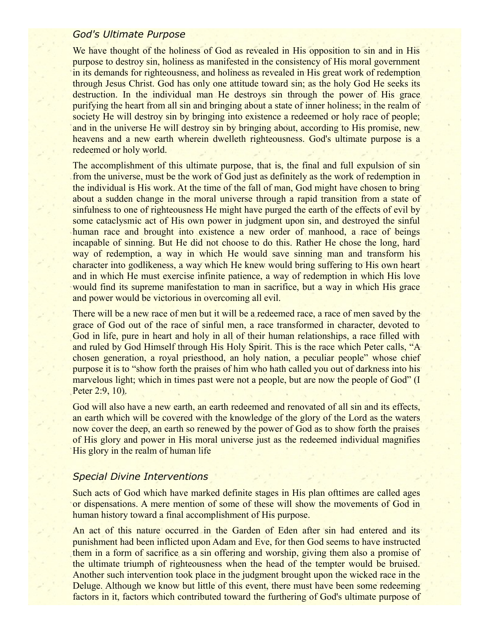#### *God's Ultimate Purpose*

We have thought of the holiness of God as revealed in His opposition to sin and in His purpose to destroy sin, holiness as manifested in the consistency of His moral government in its demands for righteousness, and holiness as revealed in His great work of redemption through Jesus Christ. God has only one attitude toward sin; as the holy God He seeks its destruction. In the individual man He destroys sin through the power of His grace purifying the heart from all sin and bringing about a state of inner holiness; in the realm of society He will destroy sin by bringing into existence a redeemed or holy race of people; and in the universe He will destroy sin by bringing about, according to His promise, new heavens and a new earth wherein dwelleth righteousness. God's ultimate purpose is a redeemed or holy world.

The accomplishment of this ultimate purpose, that is, the final and full expulsion of sin from the universe, must be the work of God just as definitely as the work of redemption in the individual is His work. At the time of the fall of man, God might have chosen to bring about a sudden change in the moral universe through a rapid transition from a state of sinfulness to one of righteousness He might have purged the earth of the effects of evil by some cataclysmic act of His own power in judgment upon sin, and destroyed the sinful human race and brought into existence a new order of manhood, a race of beings incapable of sinning. But He did not choose to do this. Rather He chose the long, hard way of redemption, a way in which He would save sinning man and transform his character into godlikeness, a way which He knew would bring suffering to His own heart and in which He must exercise infinite patience, a way of redemption in which His love would find its supreme manifestation to man in sacrifice, but a way in which His grace and power would be victorious in overcoming all evil.

There will be a new race of men but it will be a redeemed race, a race of men saved by the grace of God out of the race of sinful men, a race transformed in character, devoted to God in life, pure in heart and holy in all of their human relationships, a race filled with and ruled by God Himself through His Holy Spirit. This is the race which Peter calls, "A chosen generation, a royal priesthood, an holy nation, a peculiar people" whose chief purpose it is to "show forth the praises of him who hath called you out of darkness into his marvelous light; which in times past were not a people, but are now the people of God" (I Peter 2:9, 10).

God will also have a new earth, an earth redeemed and renovated of all sin and its effects, an earth which will be covered with the knowledge of the glory of the Lord as the waters now cover the deep, an earth so renewed by the power of God as to show forth the praises of His glory and power in His moral universe just as the redeemed individual magnifies His glory in the realm of human life

#### *Special Divine Interventions*

Such acts of God which have marked definite stages in His plan ofttimes are called ages or dispensations. A mere mention of some of these will show the movements of God in human history toward a final accomplishment of His purpose.

An act of this nature occurred in the Garden of Eden after sin had entered and its punishment had been inflicted upon Adam and Eve, for then God seems to have instructed them in a form of sacrifice as a sin offering and worship, giving them also a promise of the ultimate triumph of righteousness when the head of the tempter would be bruised. Another such intervention took place in the judgment brought upon the wicked race in the Deluge. Although we know but little of this event, there must have been some redeeming factors in it, factors which contributed toward the furthering of God's ultimate purpose of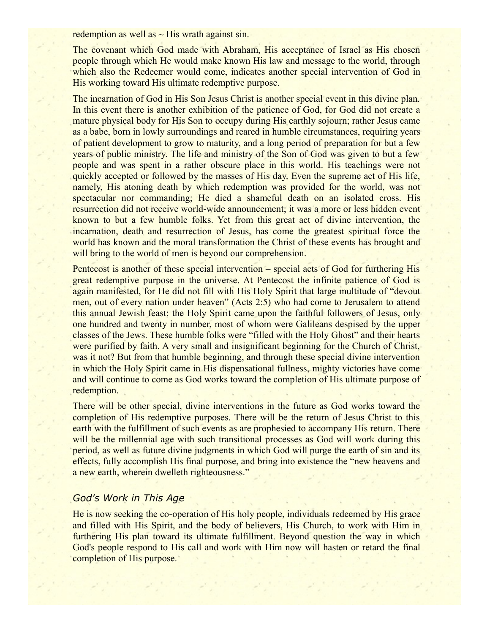redemption as well as  $\sim$  His wrath against sin.

The covenant which God made with Abraham, His acceptance of Israel as His chosen people through which He would make known His law and message to the world, through which also the Redeemer would come, indicates another special intervention of God in His working toward His ultimate redemptive purpose.

The incarnation of God in His Son Jesus Christ is another special event in this divine plan. In this event there is another exhibition of the patience of God, for God did not create a mature physical body for His Son to occupy during His earthly sojourn; rather Jesus came as a babe, born in lowly surroundings and reared in humble circumstances, requiring years of patient development to grow to maturity, and a long period of preparation for but a few years of public ministry. The life and ministry of the Son of God was given to but a few people and was spent in a rather obscure place in this world. His teachings were not quickly accepted or followed by the masses of His day. Even the supreme act of His life, namely, His atoning death by which redemption was provided for the world, was not spectacular nor commanding; He died a shameful death on an isolated cross. His resurrection did not receive world-wide announcement; it was a more or less hidden event known to but a few humble folks. Yet from this great act of divine intervention, the incarnation, death and resurrection of Jesus, has come the greatest spiritual force the world has known and the moral transformation the Christ of these events has brought and will bring to the world of men is beyond our comprehension.

Pentecost is another of these special intervention – special acts of God for furthering His great redemptive purpose in the universe. At Pentecost the infinite patience of God is again manifested, for He did not fill with His Holy Spirit that large multitude of "devout men, out of every nation under heaven" (Acts 2:5) who had come to Jerusalem to attend this annual Jewish feast; the Holy Spirit came upon the faithful followers of Jesus, only one hundred and twenty in number, most of whom were Galileans despised by the upper classes of the Jews. These humble folks were "filled with the Holy Ghost" and their hearts were purified by faith. A very small and insignificant beginning for the Church of Christ, was it not? But from that humble beginning, and through these special divine intervention in which the Holy Spirit came in His dispensational fullness, mighty victories have come and will continue to come as God works toward the completion of His ultimate purpose of redemption.

There will be other special, divine interventions in the future as God works toward the completion of His redemptive purposes. There will be the return of Jesus Christ to this earth with the fulfillment of such events as are prophesied to accompany His return. There will be the millennial age with such transitional processes as God will work during this period, as well as future divine judgments in which God will purge the earth of sin and its effects, fully accomplish His final purpose, and bring into existence the "new heavens and a new earth, wherein dwelleth righteousness."

### *God's Work in This Age*

He is now seeking the co-operation of His holy people, individuals redeemed by His grace and filled with His Spirit, and the body of believers, His Church, to work with Him in furthering His plan toward its ultimate fulfillment. Beyond question the way in which God's people respond to His call and work with Him now will hasten or retard the final completion of His purpose.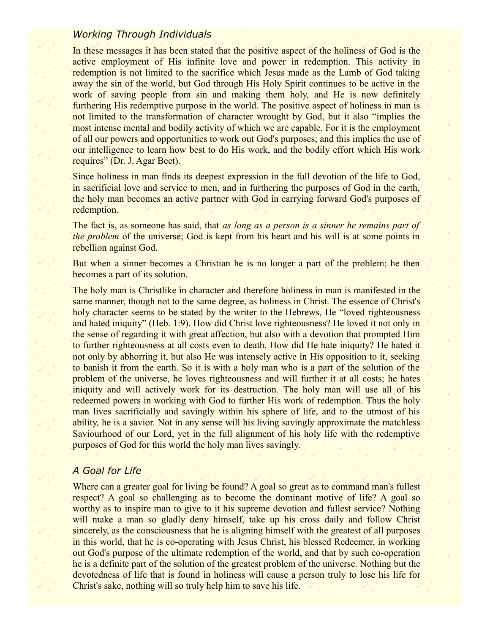#### *Working Through Individuals*

In these messages it has been stated that the positive aspect of the holiness of God is the active employment of His infinite love and power in redemption. This activity in redemption is not limited to the sacrifice which Jesus made as the Lamb of God taking away the sin of the world, but God through His Holy Spirit continues to be active in the work of saving people from sin and making them holy, and He is now definitely furthering His redemptive purpose in the world. The positive aspect of holiness in man is not limited to the transformation of character wrought by God, but it also "implies the most intense mental and bodily activity of which we are capable. For it is the employment of all our powers and opportunities to work out God's purposes; and this implies the use of our intelligence to learn how best to do His work, and the bodily effort which His work requires" (Dr. J. Agar Beet).

Since holiness in man finds its deepest expression in the full devotion of the life to God, in sacrificial love and service to men, and in furthering the purposes of God in the earth, the holy man becomes an active partner with God in carrying forward God's purposes of redemption.

The fact is, as someone has said, that *as long as a person is a sinner he remains part of the problem* of the universe; God is kept from his heart and his will is at some points in rebellion against God.

But when a sinner becomes a Christian he is no longer a part of the problem; he then becomes a part of its solution.

The holy man is Christlike in character and therefore holiness in man is manifested in the same manner, though not to the same degree, as holiness in Christ. The essence of Christ's holy character seems to be stated by the writer to the Hebrews, He "loved righteousness" and hated iniquity" (Heb. 1:9). How did Christ love righteousness? He loved it not only in the sense of regarding it with great affection, but also with a devotion that prompted Him to further righteousness at all costs even to death. How did He hate iniquity? He hated it not only by abhorring it, but also He was intensely active in His opposition to it, seeking to banish it from the earth. So it is with a holy man who is a part of the solution of the problem of the universe, he loves righteousness and will further it at all costs; he hates iniquity and will actively work for its destruction. The holy man will use all of his redeemed powers in working with God to further His work of redemption. Thus the holy man lives sacrificially and savingly within his sphere of life, and to the utmost of his ability, he is a savior. Not in any sense will his living savingly approximate the matchless Saviourhood of our Lord, yet in the full alignment of his holy life with the redemptive purposes of God for this world the holy man lives savingly.

## *A Goal for Life*

Where can a greater goal for living be found? A goal so great as to command man's fullest respect? A goal so challenging as to become the dominant motive of life? A goal so worthy as to inspire man to give to it his supreme devotion and fullest service? Nothing will make a man so gladly deny himself, take up his cross daily and follow Christ sincerely, as the consciousness that he is aligning himself with the greatest of all purposes in this world, that he is co-operating with Jesus Christ, his blessed Redeemer, in working out God's purpose of the ultimate redemption of the world, and that by such co-operation he is a definite part of the solution of the greatest problem of the universe. Nothing but the devotedness of life that is found in holiness will cause a person truly to lose his life for Christ's sake, nothing will so truly help him to save his life.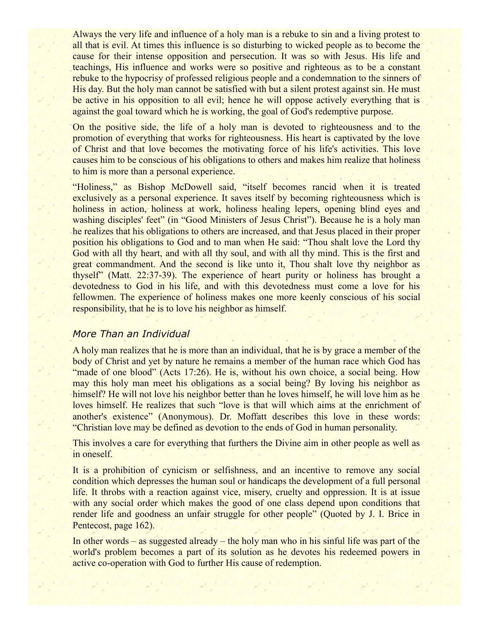Always the very life and influence of a holy man is a rebuke to sin and a living protest to all that is evil. At times this influence is so disturbing to wicked people as to become the cause for their intense opposition and persecution. It was so with Jesus. His life and teachings, His influence and works were so positive and righteous as to be a constant rebuke to the hypocrisy of professed religious people and a condemnation to the sinners of His day. But the holy man cannot be satisfied with but a silent protest against sin. He must be active in his opposition to all evil; hence he will oppose actively everything that is against the goal toward which he is working, the goal of God's redemptive purpose.

On the positive side, the life of a holy man is devoted to righteousness and to the promotion of everything that works for righteousness. His heart is captivated by the love of Christ and that love becomes the motivating force of his life's activities. This love causes him to be conscious of his obligations to others and makes him realize that holiness to him is more than a personal experience.

"Holiness," as Bishop McDowell said, "itself becomes rancid when it is treated exclusively as a personal experience. It saves itself by becoming righteousness which is holiness in action, holiness at work, holiness healing lepers, opening blind eyes and washing disciples' feet" (in "Good Ministers of Jesus Christ"). Because he is a holy man he realizes that his obligations to others are increased, and that Jesus placed in their proper position his obligations to God and to man when He said: "Thou shalt love the Lord thy God with all thy heart, and with all thy soul, and with all thy mind. This is the first and great commandment. And the second is like unto it, Thou shalt love thy neighbor as thyself" (Matt. 22:37-39). The experience of heart purity or holiness has brought a devotedness to God in his life, and with this devotedness must come a love for his fellowmen. The experience of holiness makes one more keenly conscious of his social responsibility, that he is to love his neighbor as himself.

#### *More Than an Individual*

A holy man realizes that he is more than an individual, that he is by grace a member of the body of Christ and yet by nature he remains a member of the human race which God has "made of one blood" (Acts 17:26). He is, without his own choice, a social being. How may this holy man meet his obligations as a social being? By loving his neighbor as himself? He will not love his neighbor better than he loves himself, he will love him as he loves himself. He realizes that such "love is that will which aims at the enrichment of another's existence" (Anonymous). Dr. Moffatt describes this love in these words: "Christian love may be defined as devotion to the ends of God in human personality.

This involves a care for everything that furthers the Divine aim in other people as well as in oneself.

It is a prohibition of cynicism or selfishness, and an incentive to remove any social condition which depresses the human soul or handicaps the development of a full personal life. It throbs with a reaction against vice, misery, cruelty and oppression. It is at issue with any social order which makes the good of one class depend upon conditions that render life and goodness an unfair struggle for other people" (Quoted by J. I. Brice in Pentecost, page 162).

In other words – as suggested already – the holy man who in his sinful life was part of the world's problem becomes a part of its solution as he devotes his redeemed powers in active co-operation with God to further His cause of redemption.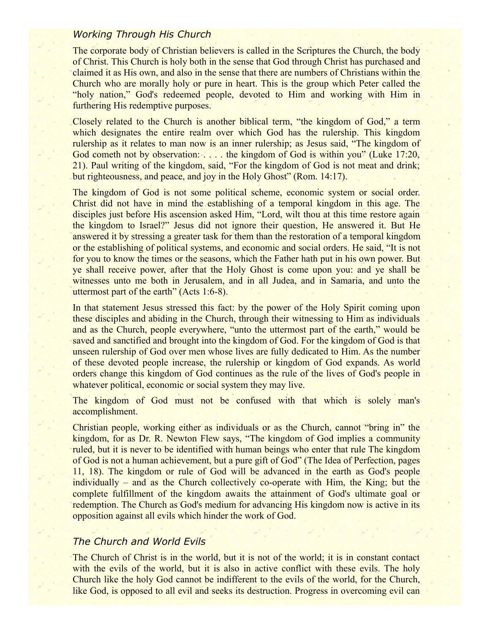## *Working Through His Church*

The corporate body of Christian believers is called in the Scriptures the Church, the body of Christ. This Church is holy both in the sense that God through Christ has purchased and claimed it as His own, and also in the sense that there are numbers of Christians within the Church who are morally holy or pure in heart. This is the group which Peter called the "holy nation," God's redeemed people, devoted to Him and working with Him in furthering His redemptive purposes.

Closely related to the Church is another biblical term, "the kingdom of God," a term which designates the entire realm over which God has the rulership. This kingdom rulership as it relates to man now is an inner rulership; as Jesus said, "The kingdom of God cometh not by observation: ... the kingdom of God is within you" (Luke 17:20, 21). Paul writing of the kingdom, said, "For the kingdom of God is not meat and drink; but righteousness, and peace, and joy in the Holy Ghost" (Rom. 14:17).

The kingdom of God is not some political scheme, economic system or social order. Christ did not have in mind the establishing of a temporal kingdom in this age. The disciples just before His ascension asked Him, "Lord, wilt thou at this time restore again the kingdom to Israel?" Jesus did not ignore their question, He answered it. But He answered it by stressing a greater task for them than the restoration of a temporal kingdom or the establishing of political systems, and economic and social orders. He said, "It is not for you to know the times or the seasons, which the Father hath put in his own power. But ye shall receive power, after that the Holy Ghost is come upon you: and ye shall be witnesses unto me both in Jerusalem, and in all Judea, and in Samaria, and unto the uttermost part of the earth" (Acts 1:6-8).

In that statement Jesus stressed this fact: by the power of the Holy Spirit coming upon these disciples and abiding in the Church, through their witnessing to Him as individuals and as the Church, people everywhere, "unto the uttermost part of the earth," would be saved and sanctified and brought into the kingdom of God. For the kingdom of God is that unseen rulership of God over men whose lives are fully dedicated to Him. As the number of these devoted people increase, the rulership or kingdom of God expands. As world orders change this kingdom of God continues as the rule of the lives of God's people in whatever political, economic or social system they may live.

The kingdom of God must not be confused with that which is solely man's accomplishment.

Christian people, working either as individuals or as the Church, cannot "bring in" the kingdom, for as Dr. R. Newton Flew says, "The kingdom of God implies a community ruled, but it is never to be identified with human beings who enter that rule The kingdom of God is not a human achievement, but a pure gift of God" (The Idea of Perfection, pages 11, 18). The kingdom or rule of God will be advanced in the earth as God's people individually – and as the Church collectively co-operate with Him, the King; but the complete fulfillment of the kingdom awaits the attainment of God's ultimate goal or redemption. The Church as God's medium for advancing His kingdom now is active in its opposition against all evils which hinder the work of God.

## *The Church and World Evils*

The Church of Christ is in the world, but it is not of the world; it is in constant contact with the evils of the world, but it is also in active conflict with these evils. The holy Church like the holy God cannot be indifferent to the evils of the world, for the Church, like God, is opposed to all evil and seeks its destruction. Progress in overcoming evil can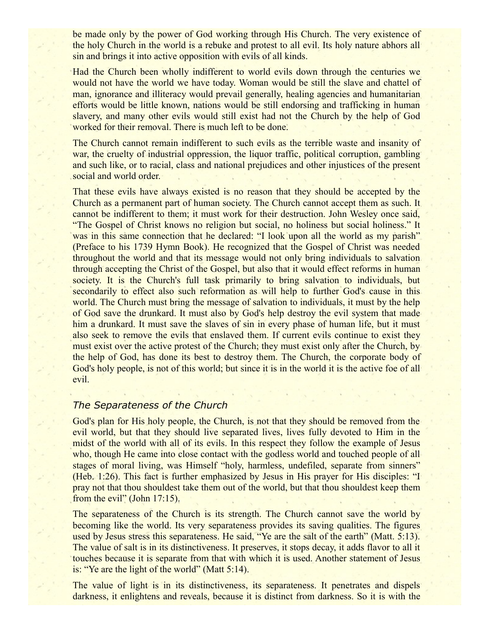be made only by the power of God working through His Church. The very existence of the holy Church in the world is a rebuke and protest to all evil. Its holy nature abhors all sin and brings it into active opposition with evils of all kinds.

Had the Church been wholly indifferent to world evils down through the centuries we would not have the world we have today. Woman would be still the slave and chattel of man, ignorance and illiteracy would prevail generally, healing agencies and humanitarian efforts would be little known, nations would be still endorsing and trafficking in human slavery, and many other evils would still exist had not the Church by the help of God worked for their removal. There is much left to be done.

The Church cannot remain indifferent to such evils as the terrible waste and insanity of war, the cruelty of industrial oppression, the liquor traffic, political corruption, gambling and such like, or to racial, class and national prejudices and other injustices of the present social and world order.

That these evils have always existed is no reason that they should be accepted by the Church as a permanent part of human society. The Church cannot accept them as such. It cannot be indifferent to them; it must work for their destruction. John Wesley once said, "The Gospel of Christ knows no religion but social, no holiness but social holiness." It was in this same connection that he declared: "I look upon all the world as my parish" (Preface to his 1739 Hymn Book). He recognized that the Gospel of Christ was needed throughout the world and that its message would not only bring individuals to salvation through accepting the Christ of the Gospel, but also that it would effect reforms in human society. It is the Church's full task primarily to bring salvation to individuals, but secondarily to effect also such reformation as will help to further God's cause in this world. The Church must bring the message of salvation to individuals, it must by the help of God save the drunkard. It must also by God's help destroy the evil system that made him a drunkard. It must save the slaves of sin in every phase of human life, but it must also seek to remove the evils that enslaved them. If current evils continue to exist they must exist over the active protest of the Church; they must exist only after the Church, by the help of God, has done its best to destroy them. The Church, the corporate body of God's holy people, is not of this world; but since it is in the world it is the active foe of all evil.

## *The Separateness of the Church*

God's plan for His holy people, the Church, is not that they should be removed from the evil world, but that they should live separated lives, lives fully devoted to Him in the midst of the world with all of its evils. In this respect they follow the example of Jesus who, though He came into close contact with the godless world and touched people of all stages of moral living, was Himself "holy, harmless, undefiled, separate from sinners" (Heb. 1:26). This fact is further emphasized by Jesus in His prayer for His disciples: "I pray not that thou shouldest take them out of the world, but that thou shouldest keep them from the evil" (John 17:15).

The separateness of the Church is its strength. The Church cannot save the world by becoming like the world. Its very separateness provides its saving qualities. The figures used by Jesus stress this separateness. He said, "Ye are the salt of the earth" (Matt. 5:13). The value of salt is in its distinctiveness. It preserves, it stops decay, it adds flavor to all it touches because it is separate from that with which it is used. Another statement of Jesus is: "Ye are the light of the world" (Matt 5:14).

The value of light is in its distinctiveness, its separateness. It penetrates and dispels darkness, it enlightens and reveals, because it is distinct from darkness. So it is with the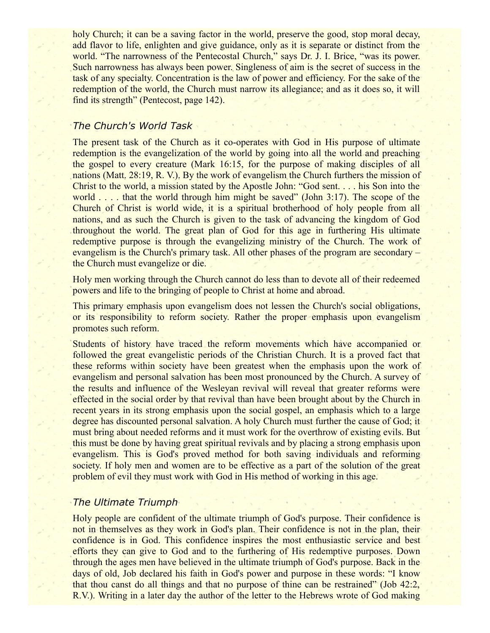holy Church; it can be a saving factor in the world, preserve the good, stop moral decay, add flavor to life, enlighten and give guidance, only as it is separate or distinct from the world. "The narrowness of the Pentecostal Church," says Dr. J. I. Brice, "was its power. Such narrowness has always been power. Singleness of aim is the secret of success in the task of any specialty. Concentration is the law of power and efficiency. For the sake of the redemption of the world, the Church must narrow its allegiance; and as it does so, it will find its strength" (Pentecost, page 142).

#### *The Church's World Task*

The present task of the Church as it co-operates with God in His purpose of ultimate redemption is the evangelization of the world by going into all the world and preaching the gospel to every creature (Mark 16:15, for the purpose of making disciples of all nations (Matt, 28:19, R. V.). By the work of evangelism the Church furthers the mission of Christ to the world, a mission stated by the Apostle John: "God sent. . . . his Son into the world . . . . that the world through him might be saved" (John 3:17). The scope of the Church of Christ is world wide, it is a spiritual brotherhood of holy people from all nations, and as such the Church is given to the task of advancing the kingdom of God throughout the world. The great plan of God for this age in furthering His ultimate redemptive purpose is through the evangelizing ministry of the Church. The work of evangelism is the Church's primary task. All other phases of the program are secondary – the Church must evangelize or die.

Holy men working through the Church cannot do less than to devote all of their redeemed powers and life to the bringing of people to Christ at home and abroad.

This primary emphasis upon evangelism does not lessen the Church's social obligations, or its responsibility to reform society. Rather the proper emphasis upon evangelism promotes such reform.

Students of history have traced the reform movements which have accompanied or followed the great evangelistic periods of the Christian Church. It is a proved fact that these reforms within society have been greatest when the emphasis upon the work of evangelism and personal salvation has been most pronounced by the Church. A survey of the results and influence of the Wesleyan revival will reveal that greater reforms were effected in the social order by that revival than have been brought about by the Church in recent years in its strong emphasis upon the social gospel, an emphasis which to a large degree has discounted personal salvation. A holy Church must further the cause of God; it must bring about needed reforms and it must work for the overthrow of existing evils. But this must be done by having great spiritual revivals and by placing a strong emphasis upon evangelism. This is God's proved method for both saving individuals and reforming society. If holy men and women are to be effective as a part of the solution of the great problem of evil they must work with God in His method of working in this age.

## *The Ultimate Triumph*

Holy people are confident of the ultimate triumph of God's purpose. Their confidence is not in themselves as they work in God's plan. Their confidence is not in the plan, their confidence is in God. This confidence inspires the most enthusiastic service and best efforts they can give to God and to the furthering of His redemptive purposes. Down through the ages men have believed in the ultimate triumph of God's purpose. Back in the days of old, Job declared his faith in God's power and purpose in these words: "I know that thou canst do all things and that no purpose of thine can be restrained" (Job 42:2, R.V.). Writing in a later day the author of the letter to the Hebrews wrote of God making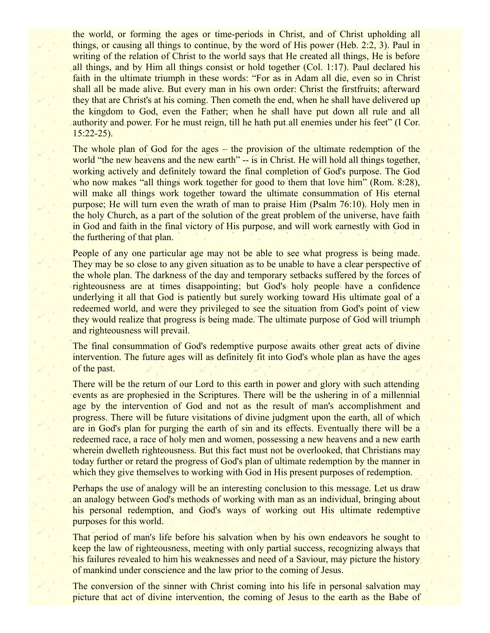the world, or forming the ages or time-periods in Christ, and of Christ upholding all things, or causing all things to continue, by the word of His power (Heb. 2:2, 3). Paul in writing of the relation of Christ to the world says that He created all things, He is before all things, and by Him all things consist or hold together (Col. 1:17). Paul declared his faith in the ultimate triumph in these words: "For as in Adam all die, even so in Christ shall all be made alive. But every man in his own order: Christ the firstfruits; afterward they that are Christ's at his coming. Then cometh the end, when he shall have delivered up the kingdom to God, even the Father; when he shall have put down all rule and all authority and power. For he must reign, till he hath put all enemies under his feet" (I Cor. 15:22-25).

The whole plan of God for the ages – the provision of the ultimate redemption of the world "the new heavens and the new earth" -- is in Christ. He will hold all things together, working actively and definitely toward the final completion of God's purpose. The God who now makes "all things work together for good to them that love him" (Rom. 8:28), will make all things work together toward the ultimate consummation of His eternal purpose; He will turn even the wrath of man to praise Him (Psalm 76:10). Holy men in the holy Church, as a part of the solution of the great problem of the universe, have faith in God and faith in the final victory of His purpose, and will work earnestly with God in the furthering of that plan.

People of any one particular age may not be able to see what progress is being made. They may be so close to any given situation as to be unable to have a clear perspective of the whole plan. The darkness of the day and temporary setbacks suffered by the forces of righteousness are at times disappointing; but God's holy people have a confidence underlying it all that God is patiently but surely working toward His ultimate goal of a redeemed world, and were they privileged to see the situation from God's point of view they would realize that progress is being made. The ultimate purpose of God will triumph and righteousness will prevail.

The final consummation of God's redemptive purpose awaits other great acts of divine intervention. The future ages will as definitely fit into God's whole plan as have the ages of the past.

There will be the return of our Lord to this earth in power and glory with such attending events as are prophesied in the Scriptures. There will be the ushering in of a millennial age by the intervention of God and not as the result of man's accomplishment and progress. There will be future visitations of divine judgment upon the earth, all of which are in God's plan for purging the earth of sin and its effects. Eventually there will be a redeemed race, a race of holy men and women, possessing a new heavens and a new earth wherein dwelleth righteousness. But this fact must not be overlooked, that Christians may today further or retard the progress of God's plan of ultimate redemption by the manner in which they give themselves to working with God in His present purposes of redemption.

Perhaps the use of analogy will be an interesting conclusion to this message. Let us draw an analogy between God's methods of working with man as an individual, bringing about his personal redemption, and God's ways of working out His ultimate redemptive purposes for this world.

That period of man's life before his salvation when by his own endeavors he sought to keep the law of righteousness, meeting with only partial success, recognizing always that his failures revealed to him his weaknesses and need of a Saviour, may picture the history of mankind under conscience and the law prior to the coming of Jesus.

The conversion of the sinner with Christ coming into his life in personal salvation may picture that act of divine intervention, the coming of Jesus to the earth as the Babe of